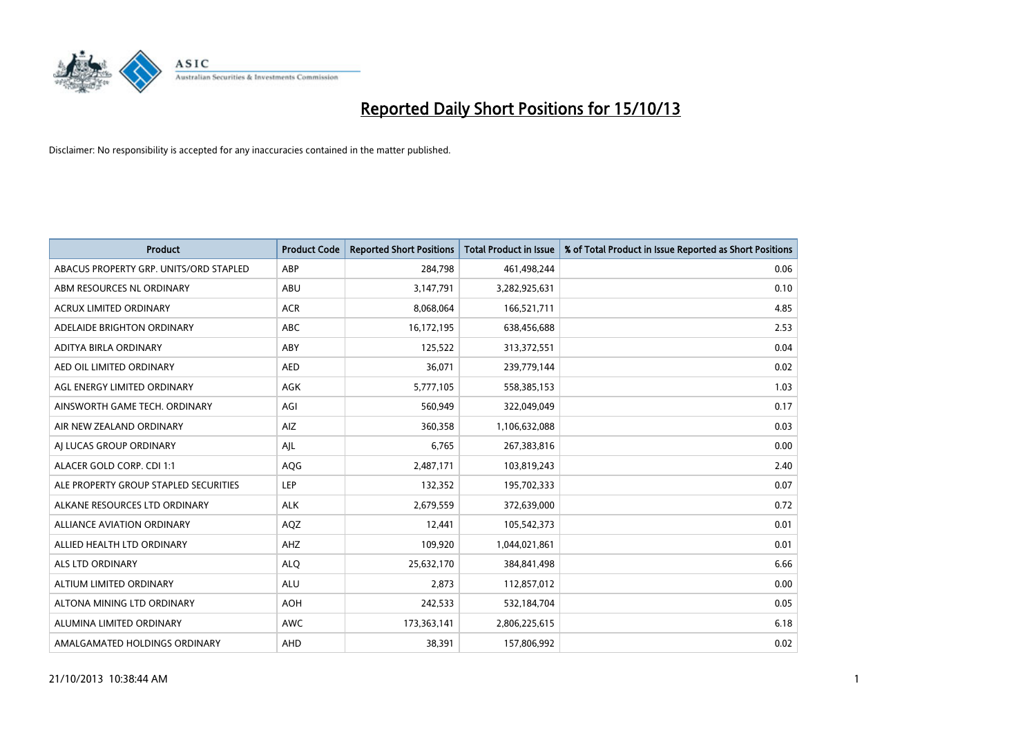

| <b>Product</b>                         | <b>Product Code</b> | <b>Reported Short Positions</b> | <b>Total Product in Issue</b> | % of Total Product in Issue Reported as Short Positions |
|----------------------------------------|---------------------|---------------------------------|-------------------------------|---------------------------------------------------------|
| ABACUS PROPERTY GRP. UNITS/ORD STAPLED | ABP                 | 284,798                         | 461,498,244                   | 0.06                                                    |
| ABM RESOURCES NL ORDINARY              | ABU                 | 3,147,791                       | 3,282,925,631                 | 0.10                                                    |
| <b>ACRUX LIMITED ORDINARY</b>          | <b>ACR</b>          | 8,068,064                       | 166,521,711                   | 4.85                                                    |
| ADELAIDE BRIGHTON ORDINARY             | <b>ABC</b>          | 16,172,195                      | 638,456,688                   | 2.53                                                    |
| ADITYA BIRLA ORDINARY                  | ABY                 | 125,522                         | 313,372,551                   | 0.04                                                    |
| AED OIL LIMITED ORDINARY               | <b>AED</b>          | 36,071                          | 239,779,144                   | 0.02                                                    |
| AGL ENERGY LIMITED ORDINARY            | AGK                 | 5,777,105                       | 558,385,153                   | 1.03                                                    |
| AINSWORTH GAME TECH. ORDINARY          | AGI                 | 560,949                         | 322,049,049                   | 0.17                                                    |
| AIR NEW ZEALAND ORDINARY               | AIZ                 | 360,358                         | 1,106,632,088                 | 0.03                                                    |
| AI LUCAS GROUP ORDINARY                | AJL                 | 6,765                           | 267,383,816                   | 0.00                                                    |
| ALACER GOLD CORP. CDI 1:1              | AQG                 | 2,487,171                       | 103,819,243                   | 2.40                                                    |
| ALE PROPERTY GROUP STAPLED SECURITIES  | LEP                 | 132,352                         | 195,702,333                   | 0.07                                                    |
| ALKANE RESOURCES LTD ORDINARY          | <b>ALK</b>          | 2,679,559                       | 372,639,000                   | 0.72                                                    |
| <b>ALLIANCE AVIATION ORDINARY</b>      | AQZ                 | 12,441                          | 105,542,373                   | 0.01                                                    |
| ALLIED HEALTH LTD ORDINARY             | AHZ                 | 109,920                         | 1,044,021,861                 | 0.01                                                    |
| ALS LTD ORDINARY                       | <b>ALQ</b>          | 25,632,170                      | 384,841,498                   | 6.66                                                    |
| ALTIUM LIMITED ORDINARY                | <b>ALU</b>          | 2,873                           | 112,857,012                   | 0.00                                                    |
| ALTONA MINING LTD ORDINARY             | <b>AOH</b>          | 242,533                         | 532,184,704                   | 0.05                                                    |
| ALUMINA LIMITED ORDINARY               | <b>AWC</b>          | 173,363,141                     | 2,806,225,615                 | 6.18                                                    |
| AMALGAMATED HOLDINGS ORDINARY          | AHD                 | 38,391                          | 157,806,992                   | 0.02                                                    |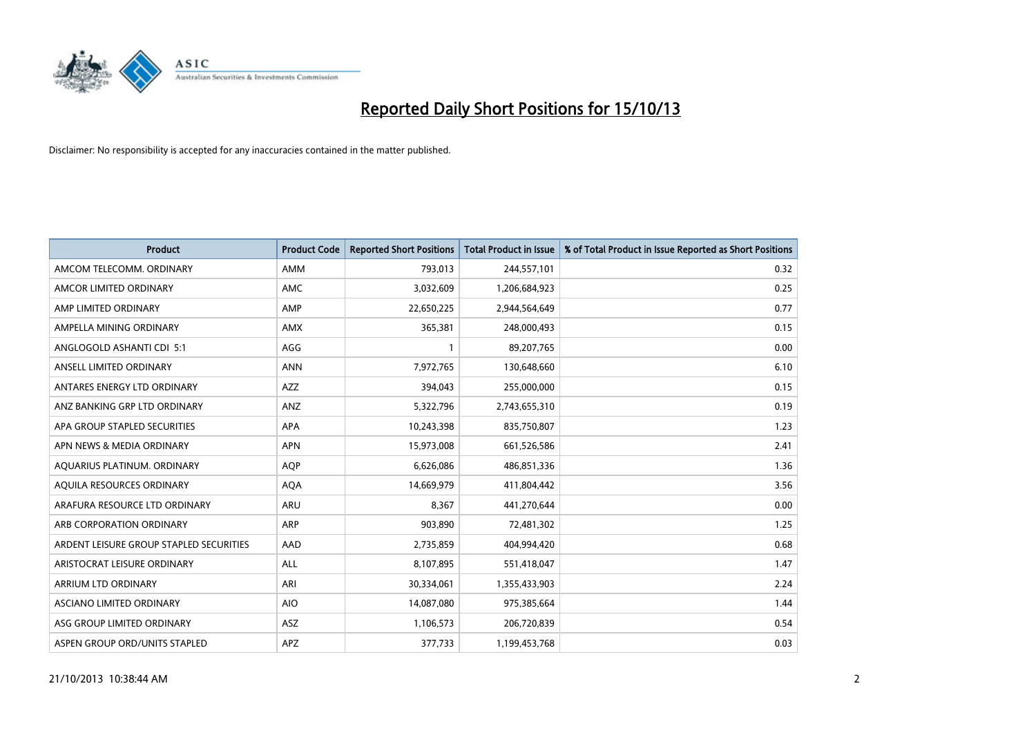

| <b>Product</b>                          | <b>Product Code</b> | <b>Reported Short Positions</b> | <b>Total Product in Issue</b> | % of Total Product in Issue Reported as Short Positions |
|-----------------------------------------|---------------------|---------------------------------|-------------------------------|---------------------------------------------------------|
| AMCOM TELECOMM, ORDINARY                | <b>AMM</b>          | 793,013                         | 244,557,101                   | 0.32                                                    |
| AMCOR LIMITED ORDINARY                  | AMC                 | 3,032,609                       | 1,206,684,923                 | 0.25                                                    |
| AMP LIMITED ORDINARY                    | AMP                 | 22,650,225                      | 2,944,564,649                 | 0.77                                                    |
| AMPELLA MINING ORDINARY                 | AMX                 | 365,381                         | 248,000,493                   | 0.15                                                    |
| ANGLOGOLD ASHANTI CDI 5:1               | AGG                 | $\mathbf{1}$                    | 89,207,765                    | 0.00                                                    |
| ANSELL LIMITED ORDINARY                 | <b>ANN</b>          | 7,972,765                       | 130,648,660                   | 6.10                                                    |
| ANTARES ENERGY LTD ORDINARY             | AZZ                 | 394,043                         | 255,000,000                   | 0.15                                                    |
| ANZ BANKING GRP LTD ORDINARY            | ANZ                 | 5,322,796                       | 2,743,655,310                 | 0.19                                                    |
| APA GROUP STAPLED SECURITIES            | APA                 | 10,243,398                      | 835,750,807                   | 1.23                                                    |
| APN NEWS & MEDIA ORDINARY               | <b>APN</b>          | 15,973,008                      | 661,526,586                   | 2.41                                                    |
| AQUARIUS PLATINUM. ORDINARY             | <b>AQP</b>          | 6,626,086                       | 486,851,336                   | 1.36                                                    |
| AQUILA RESOURCES ORDINARY               | <b>AQA</b>          | 14,669,979                      | 411,804,442                   | 3.56                                                    |
| ARAFURA RESOURCE LTD ORDINARY           | <b>ARU</b>          | 8,367                           | 441,270,644                   | 0.00                                                    |
| ARB CORPORATION ORDINARY                | <b>ARP</b>          | 903,890                         | 72,481,302                    | 1.25                                                    |
| ARDENT LEISURE GROUP STAPLED SECURITIES | AAD                 | 2,735,859                       | 404,994,420                   | 0.68                                                    |
| ARISTOCRAT LEISURE ORDINARY             | ALL                 | 8,107,895                       | 551,418,047                   | 1.47                                                    |
| ARRIUM LTD ORDINARY                     | ARI                 | 30,334,061                      | 1,355,433,903                 | 2.24                                                    |
| ASCIANO LIMITED ORDINARY                | <b>AIO</b>          | 14,087,080                      | 975,385,664                   | 1.44                                                    |
| ASG GROUP LIMITED ORDINARY              | ASZ                 | 1,106,573                       | 206,720,839                   | 0.54                                                    |
| ASPEN GROUP ORD/UNITS STAPLED           | APZ                 | 377,733                         | 1,199,453,768                 | 0.03                                                    |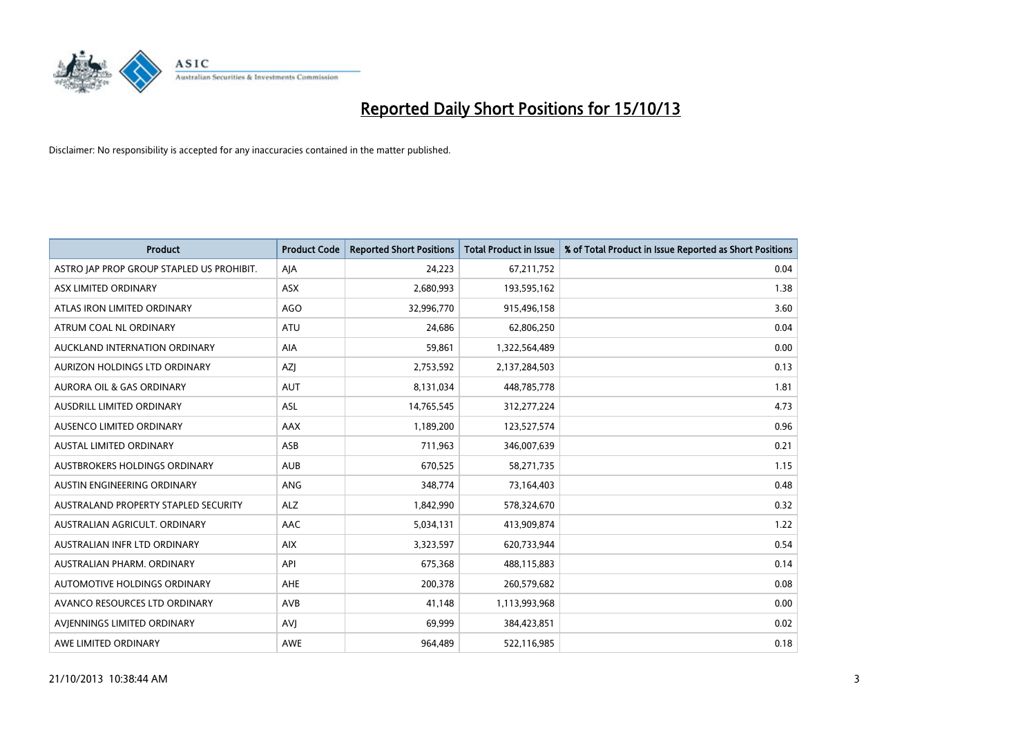

| <b>Product</b>                            | <b>Product Code</b> | <b>Reported Short Positions</b> | <b>Total Product in Issue</b> | % of Total Product in Issue Reported as Short Positions |
|-------------------------------------------|---------------------|---------------------------------|-------------------------------|---------------------------------------------------------|
| ASTRO JAP PROP GROUP STAPLED US PROHIBIT. | AJA                 | 24,223                          | 67,211,752                    | 0.04                                                    |
| ASX LIMITED ORDINARY                      | ASX                 | 2,680,993                       | 193,595,162                   | 1.38                                                    |
| ATLAS IRON LIMITED ORDINARY               | <b>AGO</b>          | 32,996,770                      | 915,496,158                   | 3.60                                                    |
| ATRUM COAL NL ORDINARY                    | <b>ATU</b>          | 24,686                          | 62,806,250                    | 0.04                                                    |
| AUCKLAND INTERNATION ORDINARY             | AIA                 | 59,861                          | 1,322,564,489                 | 0.00                                                    |
| AURIZON HOLDINGS LTD ORDINARY             | AZJ                 | 2,753,592                       | 2,137,284,503                 | 0.13                                                    |
| AURORA OIL & GAS ORDINARY                 | <b>AUT</b>          | 8,131,034                       | 448,785,778                   | 1.81                                                    |
| AUSDRILL LIMITED ORDINARY                 | ASL                 | 14,765,545                      | 312,277,224                   | 4.73                                                    |
| AUSENCO LIMITED ORDINARY                  | AAX                 | 1,189,200                       | 123,527,574                   | 0.96                                                    |
| <b>AUSTAL LIMITED ORDINARY</b>            | ASB                 | 711,963                         | 346,007,639                   | 0.21                                                    |
| AUSTBROKERS HOLDINGS ORDINARY             | <b>AUB</b>          | 670,525                         | 58,271,735                    | 1.15                                                    |
| AUSTIN ENGINEERING ORDINARY               | <b>ANG</b>          | 348,774                         | 73,164,403                    | 0.48                                                    |
| AUSTRALAND PROPERTY STAPLED SECURITY      | <b>ALZ</b>          | 1,842,990                       | 578,324,670                   | 0.32                                                    |
| AUSTRALIAN AGRICULT, ORDINARY             | AAC                 | 5,034,131                       | 413,909,874                   | 1.22                                                    |
| AUSTRALIAN INFR LTD ORDINARY              | <b>AIX</b>          | 3,323,597                       | 620,733,944                   | 0.54                                                    |
| AUSTRALIAN PHARM. ORDINARY                | API                 | 675,368                         | 488,115,883                   | 0.14                                                    |
| AUTOMOTIVE HOLDINGS ORDINARY              | AHE                 | 200,378                         | 260,579,682                   | 0.08                                                    |
| AVANCO RESOURCES LTD ORDINARY             | AVB                 | 41,148                          | 1,113,993,968                 | 0.00                                                    |
| AVIENNINGS LIMITED ORDINARY               | <b>AVI</b>          | 69,999                          | 384,423,851                   | 0.02                                                    |
| AWE LIMITED ORDINARY                      | AWE                 | 964,489                         | 522,116,985                   | 0.18                                                    |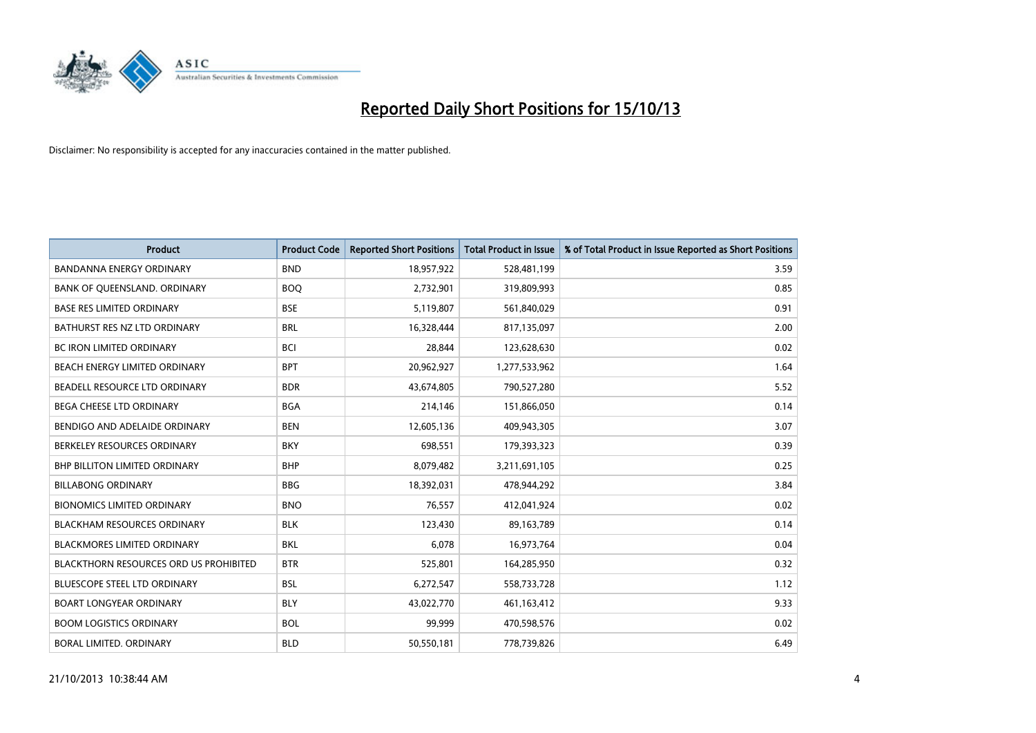

| <b>Product</b>                         | <b>Product Code</b> | <b>Reported Short Positions</b> | <b>Total Product in Issue</b> | % of Total Product in Issue Reported as Short Positions |
|----------------------------------------|---------------------|---------------------------------|-------------------------------|---------------------------------------------------------|
| <b>BANDANNA ENERGY ORDINARY</b>        | <b>BND</b>          | 18,957,922                      | 528,481,199                   | 3.59                                                    |
| BANK OF QUEENSLAND. ORDINARY           | <b>BOO</b>          | 2,732,901                       | 319,809,993                   | 0.85                                                    |
| <b>BASE RES LIMITED ORDINARY</b>       | <b>BSE</b>          | 5,119,807                       | 561,840,029                   | 0.91                                                    |
| BATHURST RES NZ LTD ORDINARY           | <b>BRL</b>          | 16,328,444                      | 817,135,097                   | 2.00                                                    |
| BC IRON LIMITED ORDINARY               | <b>BCI</b>          | 28,844                          | 123,628,630                   | 0.02                                                    |
| BEACH ENERGY LIMITED ORDINARY          | <b>BPT</b>          | 20,962,927                      | 1,277,533,962                 | 1.64                                                    |
| BEADELL RESOURCE LTD ORDINARY          | <b>BDR</b>          | 43,674,805                      | 790,527,280                   | 5.52                                                    |
| <b>BEGA CHEESE LTD ORDINARY</b>        | <b>BGA</b>          | 214,146                         | 151,866,050                   | 0.14                                                    |
| BENDIGO AND ADELAIDE ORDINARY          | <b>BEN</b>          | 12,605,136                      | 409,943,305                   | 3.07                                                    |
| BERKELEY RESOURCES ORDINARY            | <b>BKY</b>          | 698,551                         | 179,393,323                   | 0.39                                                    |
| <b>BHP BILLITON LIMITED ORDINARY</b>   | <b>BHP</b>          | 8,079,482                       | 3,211,691,105                 | 0.25                                                    |
| <b>BILLABONG ORDINARY</b>              | <b>BBG</b>          | 18,392,031                      | 478,944,292                   | 3.84                                                    |
| <b>BIONOMICS LIMITED ORDINARY</b>      | <b>BNO</b>          | 76,557                          | 412,041,924                   | 0.02                                                    |
| <b>BLACKHAM RESOURCES ORDINARY</b>     | <b>BLK</b>          | 123,430                         | 89,163,789                    | 0.14                                                    |
| <b>BLACKMORES LIMITED ORDINARY</b>     | <b>BKL</b>          | 6,078                           | 16,973,764                    | 0.04                                                    |
| BLACKTHORN RESOURCES ORD US PROHIBITED | <b>BTR</b>          | 525,801                         | 164,285,950                   | 0.32                                                    |
| <b>BLUESCOPE STEEL LTD ORDINARY</b>    | <b>BSL</b>          | 6,272,547                       | 558,733,728                   | 1.12                                                    |
| BOART LONGYEAR ORDINARY                | <b>BLY</b>          | 43,022,770                      | 461,163,412                   | 9.33                                                    |
| <b>BOOM LOGISTICS ORDINARY</b>         | <b>BOL</b>          | 99,999                          | 470,598,576                   | 0.02                                                    |
| BORAL LIMITED, ORDINARY                | <b>BLD</b>          | 50,550,181                      | 778,739,826                   | 6.49                                                    |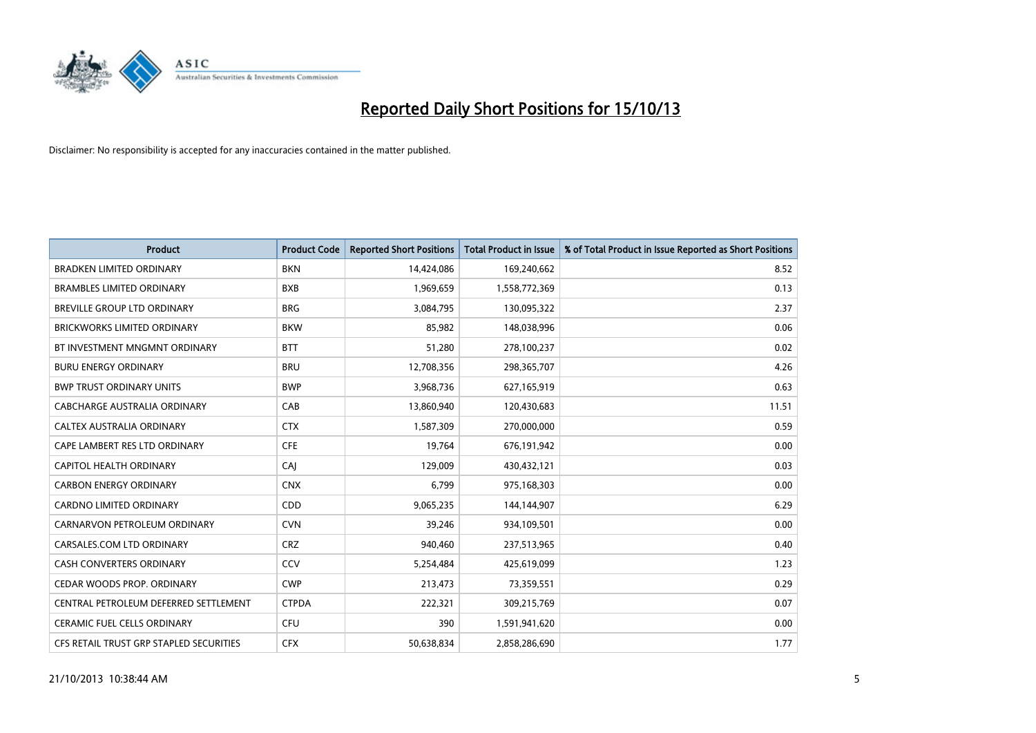

| <b>Product</b>                          | <b>Product Code</b> | <b>Reported Short Positions</b> | <b>Total Product in Issue</b> | % of Total Product in Issue Reported as Short Positions |
|-----------------------------------------|---------------------|---------------------------------|-------------------------------|---------------------------------------------------------|
| <b>BRADKEN LIMITED ORDINARY</b>         | <b>BKN</b>          | 14,424,086                      | 169,240,662                   | 8.52                                                    |
| <b>BRAMBLES LIMITED ORDINARY</b>        | <b>BXB</b>          | 1,969,659                       | 1,558,772,369                 | 0.13                                                    |
| <b>BREVILLE GROUP LTD ORDINARY</b>      | <b>BRG</b>          | 3,084,795                       | 130,095,322                   | 2.37                                                    |
| BRICKWORKS LIMITED ORDINARY             | <b>BKW</b>          | 85,982                          | 148,038,996                   | 0.06                                                    |
| BT INVESTMENT MNGMNT ORDINARY           | <b>BTT</b>          | 51,280                          | 278,100,237                   | 0.02                                                    |
| <b>BURU ENERGY ORDINARY</b>             | <b>BRU</b>          | 12,708,356                      | 298,365,707                   | 4.26                                                    |
| <b>BWP TRUST ORDINARY UNITS</b>         | <b>BWP</b>          | 3,968,736                       | 627,165,919                   | 0.63                                                    |
| CABCHARGE AUSTRALIA ORDINARY            | CAB                 | 13,860,940                      | 120,430,683                   | 11.51                                                   |
| CALTEX AUSTRALIA ORDINARY               | <b>CTX</b>          | 1,587,309                       | 270,000,000                   | 0.59                                                    |
| CAPE LAMBERT RES LTD ORDINARY           | <b>CFE</b>          | 19,764                          | 676,191,942                   | 0.00                                                    |
| CAPITOL HEALTH ORDINARY                 | CAJ                 | 129,009                         | 430,432,121                   | 0.03                                                    |
| <b>CARBON ENERGY ORDINARY</b>           | <b>CNX</b>          | 6,799                           | 975,168,303                   | 0.00                                                    |
| <b>CARDNO LIMITED ORDINARY</b>          | CDD                 | 9,065,235                       | 144,144,907                   | 6.29                                                    |
| CARNARVON PETROLEUM ORDINARY            | <b>CVN</b>          | 39,246                          | 934,109,501                   | 0.00                                                    |
| CARSALES.COM LTD ORDINARY               | <b>CRZ</b>          | 940,460                         | 237,513,965                   | 0.40                                                    |
| <b>CASH CONVERTERS ORDINARY</b>         | CCV                 | 5,254,484                       | 425,619,099                   | 1.23                                                    |
| CEDAR WOODS PROP. ORDINARY              | <b>CWP</b>          | 213,473                         | 73,359,551                    | 0.29                                                    |
| CENTRAL PETROLEUM DEFERRED SETTLEMENT   | <b>CTPDA</b>        | 222,321                         | 309,215,769                   | 0.07                                                    |
| <b>CERAMIC FUEL CELLS ORDINARY</b>      | <b>CFU</b>          | 390                             | 1,591,941,620                 | 0.00                                                    |
| CFS RETAIL TRUST GRP STAPLED SECURITIES | <b>CFX</b>          | 50,638,834                      | 2,858,286,690                 | 1.77                                                    |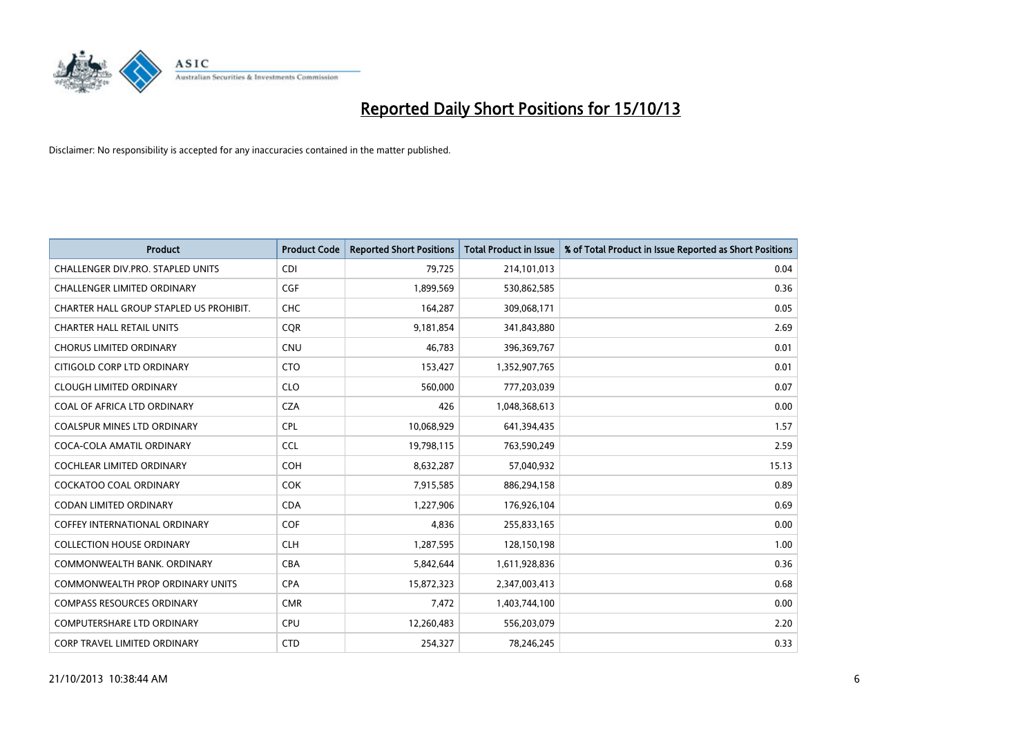

| <b>Product</b>                          | <b>Product Code</b> | <b>Reported Short Positions</b> | <b>Total Product in Issue</b> | % of Total Product in Issue Reported as Short Positions |
|-----------------------------------------|---------------------|---------------------------------|-------------------------------|---------------------------------------------------------|
| CHALLENGER DIV.PRO. STAPLED UNITS       | <b>CDI</b>          | 79,725                          | 214,101,013                   | 0.04                                                    |
| CHALLENGER LIMITED ORDINARY             | <b>CGF</b>          | 1,899,569                       | 530,862,585                   | 0.36                                                    |
| CHARTER HALL GROUP STAPLED US PROHIBIT. | <b>CHC</b>          | 164,287                         | 309,068,171                   | 0.05                                                    |
| <b>CHARTER HALL RETAIL UNITS</b>        | <b>CQR</b>          | 9,181,854                       | 341,843,880                   | 2.69                                                    |
| <b>CHORUS LIMITED ORDINARY</b>          | <b>CNU</b>          | 46,783                          | 396,369,767                   | 0.01                                                    |
| CITIGOLD CORP LTD ORDINARY              | <b>CTO</b>          | 153,427                         | 1,352,907,765                 | 0.01                                                    |
| <b>CLOUGH LIMITED ORDINARY</b>          | <b>CLO</b>          | 560,000                         | 777,203,039                   | 0.07                                                    |
| COAL OF AFRICA LTD ORDINARY             | <b>CZA</b>          | 426                             | 1,048,368,613                 | 0.00                                                    |
| <b>COALSPUR MINES LTD ORDINARY</b>      | <b>CPL</b>          | 10,068,929                      | 641,394,435                   | 1.57                                                    |
| COCA-COLA AMATIL ORDINARY               | <b>CCL</b>          | 19,798,115                      | 763,590,249                   | 2.59                                                    |
| COCHLEAR LIMITED ORDINARY               | <b>COH</b>          | 8,632,287                       | 57,040,932                    | 15.13                                                   |
| <b>COCKATOO COAL ORDINARY</b>           | <b>COK</b>          | 7,915,585                       | 886,294,158                   | 0.89                                                    |
| <b>CODAN LIMITED ORDINARY</b>           | <b>CDA</b>          | 1,227,906                       | 176,926,104                   | 0.69                                                    |
| <b>COFFEY INTERNATIONAL ORDINARY</b>    | <b>COF</b>          | 4,836                           | 255,833,165                   | 0.00                                                    |
| <b>COLLECTION HOUSE ORDINARY</b>        | <b>CLH</b>          | 1,287,595                       | 128,150,198                   | 1.00                                                    |
| COMMONWEALTH BANK, ORDINARY             | <b>CBA</b>          | 5,842,644                       | 1,611,928,836                 | 0.36                                                    |
| COMMONWEALTH PROP ORDINARY UNITS        | <b>CPA</b>          | 15,872,323                      | 2,347,003,413                 | 0.68                                                    |
| <b>COMPASS RESOURCES ORDINARY</b>       | <b>CMR</b>          | 7,472                           | 1,403,744,100                 | 0.00                                                    |
| <b>COMPUTERSHARE LTD ORDINARY</b>       | <b>CPU</b>          | 12,260,483                      | 556,203,079                   | 2.20                                                    |
| CORP TRAVEL LIMITED ORDINARY            | <b>CTD</b>          | 254,327                         | 78,246,245                    | 0.33                                                    |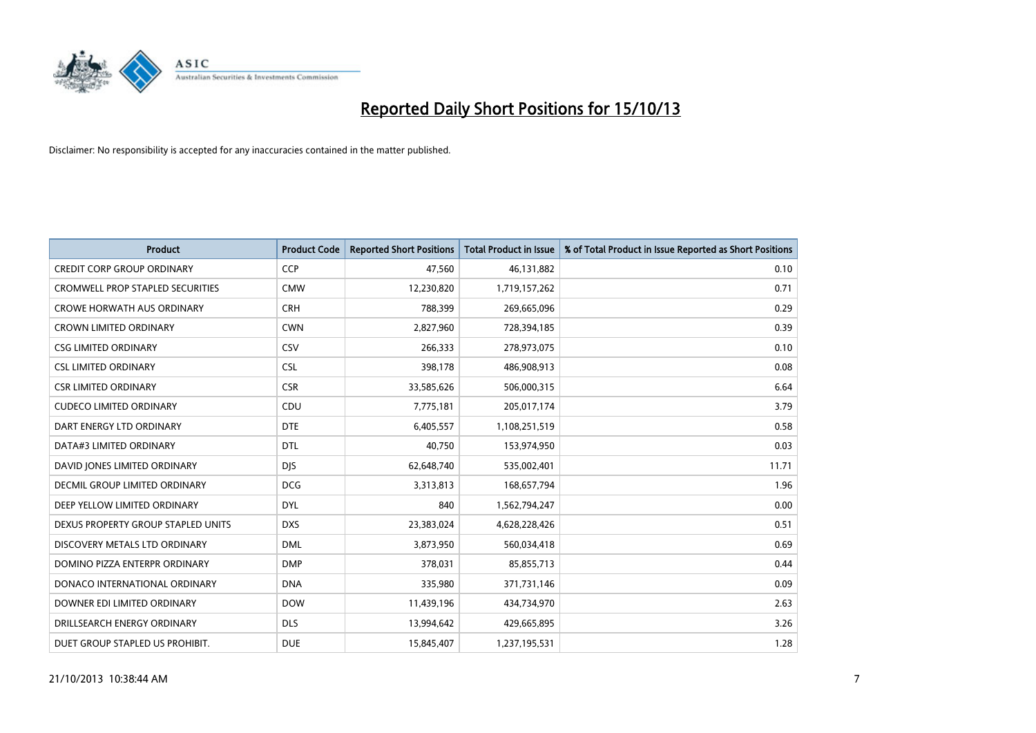

| <b>Product</b>                       | <b>Product Code</b> | <b>Reported Short Positions</b> | <b>Total Product in Issue</b> | % of Total Product in Issue Reported as Short Positions |
|--------------------------------------|---------------------|---------------------------------|-------------------------------|---------------------------------------------------------|
| <b>CREDIT CORP GROUP ORDINARY</b>    | <b>CCP</b>          | 47,560                          | 46,131,882                    | 0.10                                                    |
| CROMWELL PROP STAPLED SECURITIES     | <b>CMW</b>          | 12,230,820                      | 1,719,157,262                 | 0.71                                                    |
| <b>CROWE HORWATH AUS ORDINARY</b>    | <b>CRH</b>          | 788,399                         | 269,665,096                   | 0.29                                                    |
| <b>CROWN LIMITED ORDINARY</b>        | <b>CWN</b>          | 2,827,960                       | 728,394,185                   | 0.39                                                    |
| <b>CSG LIMITED ORDINARY</b>          | CSV                 | 266,333                         | 278,973,075                   | 0.10                                                    |
| <b>CSL LIMITED ORDINARY</b>          | <b>CSL</b>          | 398,178                         | 486,908,913                   | 0.08                                                    |
| <b>CSR LIMITED ORDINARY</b>          | <b>CSR</b>          | 33,585,626                      | 506,000,315                   | 6.64                                                    |
| <b>CUDECO LIMITED ORDINARY</b>       | CDU                 | 7,775,181                       | 205,017,174                   | 3.79                                                    |
| DART ENERGY LTD ORDINARY             | <b>DTE</b>          | 6,405,557                       | 1,108,251,519                 | 0.58                                                    |
| DATA#3 LIMITED ORDINARY              | <b>DTL</b>          | 40,750                          | 153,974,950                   | 0.03                                                    |
| DAVID JONES LIMITED ORDINARY         | <b>DJS</b>          | 62,648,740                      | 535,002,401                   | 11.71                                                   |
| <b>DECMIL GROUP LIMITED ORDINARY</b> | <b>DCG</b>          | 3,313,813                       | 168,657,794                   | 1.96                                                    |
| DEEP YELLOW LIMITED ORDINARY         | <b>DYL</b>          | 840                             | 1,562,794,247                 | 0.00                                                    |
| DEXUS PROPERTY GROUP STAPLED UNITS   | <b>DXS</b>          | 23,383,024                      | 4,628,228,426                 | 0.51                                                    |
| DISCOVERY METALS LTD ORDINARY        | <b>DML</b>          | 3,873,950                       | 560,034,418                   | 0.69                                                    |
| DOMINO PIZZA ENTERPR ORDINARY        | <b>DMP</b>          | 378,031                         | 85,855,713                    | 0.44                                                    |
| DONACO INTERNATIONAL ORDINARY        | <b>DNA</b>          | 335,980                         | 371,731,146                   | 0.09                                                    |
| DOWNER EDI LIMITED ORDINARY          | <b>DOW</b>          | 11,439,196                      | 434,734,970                   | 2.63                                                    |
| DRILLSEARCH ENERGY ORDINARY          | <b>DLS</b>          | 13,994,642                      | 429,665,895                   | 3.26                                                    |
| DUET GROUP STAPLED US PROHIBIT.      | <b>DUE</b>          | 15,845,407                      | 1,237,195,531                 | 1.28                                                    |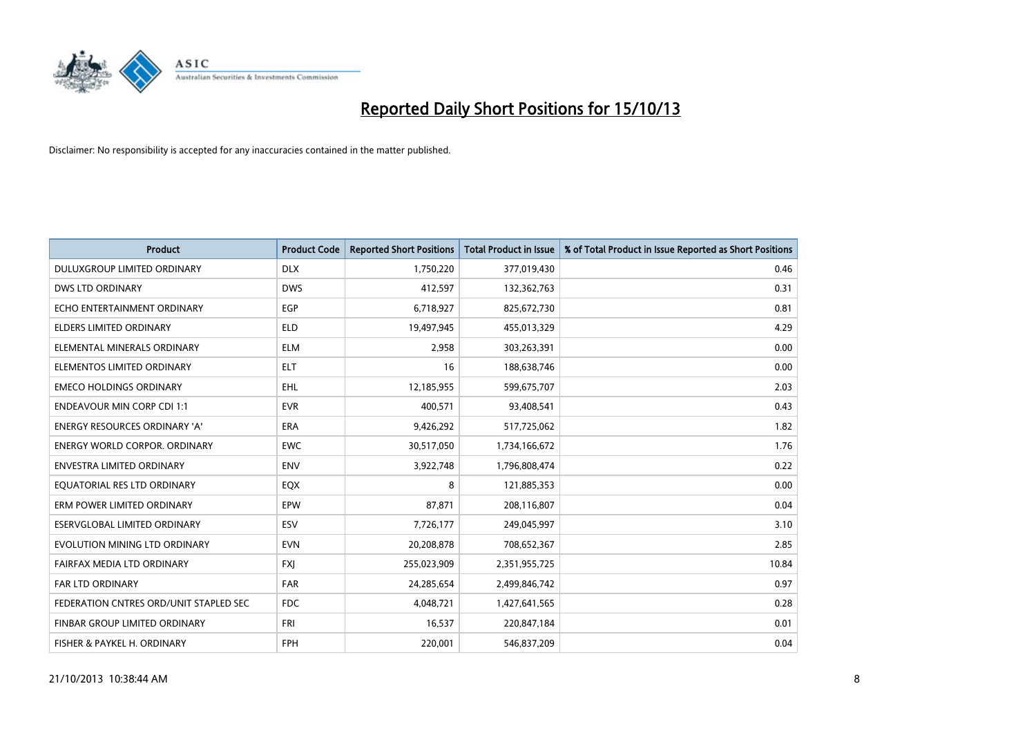

| <b>Product</b>                         | <b>Product Code</b> | <b>Reported Short Positions</b> | <b>Total Product in Issue</b> | % of Total Product in Issue Reported as Short Positions |
|----------------------------------------|---------------------|---------------------------------|-------------------------------|---------------------------------------------------------|
| DULUXGROUP LIMITED ORDINARY            | <b>DLX</b>          | 1,750,220                       | 377,019,430                   | 0.46                                                    |
| DWS LTD ORDINARY                       | <b>DWS</b>          | 412,597                         | 132,362,763                   | 0.31                                                    |
| ECHO ENTERTAINMENT ORDINARY            | <b>EGP</b>          | 6,718,927                       | 825,672,730                   | 0.81                                                    |
| ELDERS LIMITED ORDINARY                | <b>ELD</b>          | 19,497,945                      | 455,013,329                   | 4.29                                                    |
| ELEMENTAL MINERALS ORDINARY            | <b>ELM</b>          | 2,958                           | 303,263,391                   | 0.00                                                    |
| ELEMENTOS LIMITED ORDINARY             | <b>ELT</b>          | 16                              | 188,638,746                   | 0.00                                                    |
| <b>EMECO HOLDINGS ORDINARY</b>         | <b>EHL</b>          | 12,185,955                      | 599,675,707                   | 2.03                                                    |
| <b>ENDEAVOUR MIN CORP CDI 1:1</b>      | <b>EVR</b>          | 400,571                         | 93,408,541                    | 0.43                                                    |
| <b>ENERGY RESOURCES ORDINARY 'A'</b>   | <b>ERA</b>          | 9,426,292                       | 517,725,062                   | 1.82                                                    |
| <b>ENERGY WORLD CORPOR, ORDINARY</b>   | <b>EWC</b>          | 30,517,050                      | 1,734,166,672                 | 1.76                                                    |
| ENVESTRA LIMITED ORDINARY              | <b>ENV</b>          | 3,922,748                       | 1,796,808,474                 | 0.22                                                    |
| EQUATORIAL RES LTD ORDINARY            | EQX                 | 8                               | 121,885,353                   | 0.00                                                    |
| ERM POWER LIMITED ORDINARY             | <b>EPW</b>          | 87,871                          | 208,116,807                   | 0.04                                                    |
| ESERVGLOBAL LIMITED ORDINARY           | ESV                 | 7,726,177                       | 249,045,997                   | 3.10                                                    |
| EVOLUTION MINING LTD ORDINARY          | <b>EVN</b>          | 20,208,878                      | 708,652,367                   | 2.85                                                    |
| FAIRFAX MEDIA LTD ORDINARY             | <b>FXI</b>          | 255,023,909                     | 2,351,955,725                 | 10.84                                                   |
| FAR LTD ORDINARY                       | <b>FAR</b>          | 24,285,654                      | 2,499,846,742                 | 0.97                                                    |
| FEDERATION CNTRES ORD/UNIT STAPLED SEC | <b>FDC</b>          | 4,048,721                       | 1,427,641,565                 | 0.28                                                    |
| FINBAR GROUP LIMITED ORDINARY          | <b>FRI</b>          | 16,537                          | 220,847,184                   | 0.01                                                    |
| FISHER & PAYKEL H. ORDINARY            | <b>FPH</b>          | 220,001                         | 546,837,209                   | 0.04                                                    |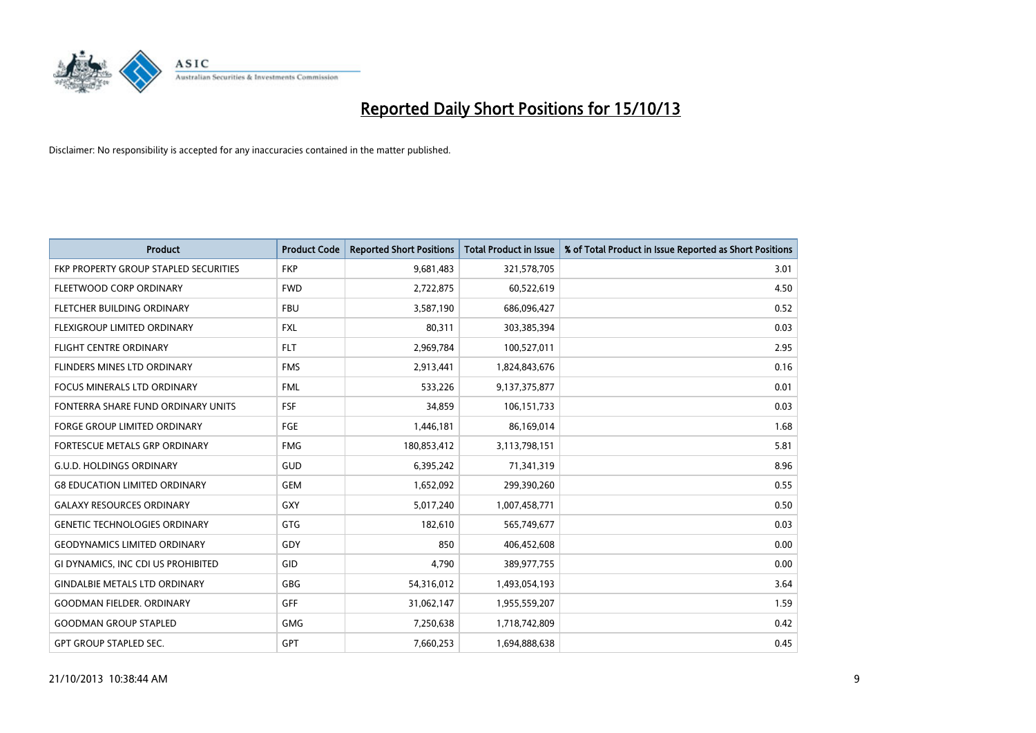

| <b>Product</b>                        | <b>Product Code</b> | <b>Reported Short Positions</b> | <b>Total Product in Issue</b> | % of Total Product in Issue Reported as Short Positions |
|---------------------------------------|---------------------|---------------------------------|-------------------------------|---------------------------------------------------------|
| FKP PROPERTY GROUP STAPLED SECURITIES | <b>FKP</b>          | 9,681,483                       | 321,578,705                   | 3.01                                                    |
| FLEETWOOD CORP ORDINARY               | <b>FWD</b>          | 2,722,875                       | 60,522,619                    | 4.50                                                    |
| FLETCHER BUILDING ORDINARY            | <b>FBU</b>          | 3,587,190                       | 686,096,427                   | 0.52                                                    |
| FLEXIGROUP LIMITED ORDINARY           | <b>FXL</b>          | 80,311                          | 303,385,394                   | 0.03                                                    |
| <b>FLIGHT CENTRE ORDINARY</b>         | <b>FLT</b>          | 2,969,784                       | 100,527,011                   | 2.95                                                    |
| FLINDERS MINES LTD ORDINARY           | <b>FMS</b>          | 2,913,441                       | 1,824,843,676                 | 0.16                                                    |
| FOCUS MINERALS LTD ORDINARY           | <b>FML</b>          | 533,226                         | 9,137,375,877                 | 0.01                                                    |
| FONTERRA SHARE FUND ORDINARY UNITS    | <b>FSF</b>          | 34,859                          | 106,151,733                   | 0.03                                                    |
| FORGE GROUP LIMITED ORDINARY          | FGE                 | 1,446,181                       | 86,169,014                    | 1.68                                                    |
| FORTESCUE METALS GRP ORDINARY         | <b>FMG</b>          | 180,853,412                     | 3,113,798,151                 | 5.81                                                    |
| <b>G.U.D. HOLDINGS ORDINARY</b>       | GUD                 | 6,395,242                       | 71,341,319                    | 8.96                                                    |
| <b>G8 EDUCATION LIMITED ORDINARY</b>  | GEM                 | 1,652,092                       | 299,390,260                   | 0.55                                                    |
| <b>GALAXY RESOURCES ORDINARY</b>      | GXY                 | 5,017,240                       | 1,007,458,771                 | 0.50                                                    |
| <b>GENETIC TECHNOLOGIES ORDINARY</b>  | GTG                 | 182,610                         | 565,749,677                   | 0.03                                                    |
| <b>GEODYNAMICS LIMITED ORDINARY</b>   | GDY                 | 850                             | 406,452,608                   | 0.00                                                    |
| GI DYNAMICS, INC CDI US PROHIBITED    | GID                 | 4,790                           | 389,977,755                   | 0.00                                                    |
| <b>GINDALBIE METALS LTD ORDINARY</b>  | GBG                 | 54,316,012                      | 1,493,054,193                 | 3.64                                                    |
| <b>GOODMAN FIELDER, ORDINARY</b>      | <b>GFF</b>          | 31,062,147                      | 1,955,559,207                 | 1.59                                                    |
| <b>GOODMAN GROUP STAPLED</b>          | <b>GMG</b>          | 7,250,638                       | 1,718,742,809                 | 0.42                                                    |
| <b>GPT GROUP STAPLED SEC.</b>         | <b>GPT</b>          | 7,660,253                       | 1,694,888,638                 | 0.45                                                    |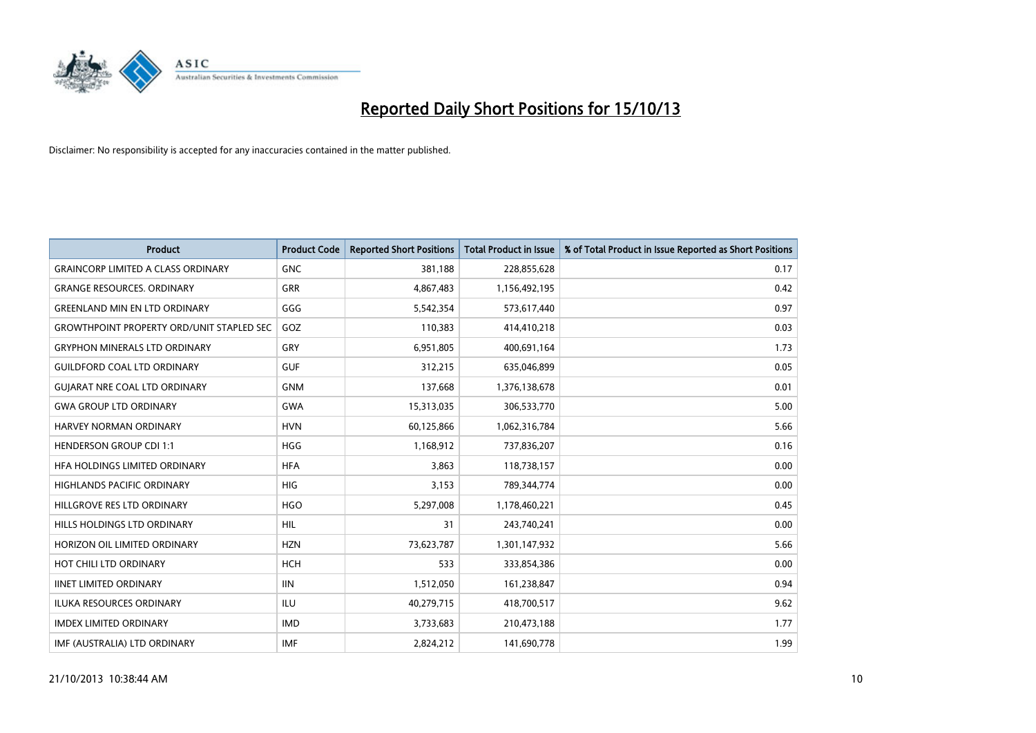

| <b>Product</b>                                   | <b>Product Code</b> | <b>Reported Short Positions</b> | <b>Total Product in Issue</b> | % of Total Product in Issue Reported as Short Positions |
|--------------------------------------------------|---------------------|---------------------------------|-------------------------------|---------------------------------------------------------|
| <b>GRAINCORP LIMITED A CLASS ORDINARY</b>        | <b>GNC</b>          | 381,188                         | 228,855,628                   | 0.17                                                    |
| <b>GRANGE RESOURCES. ORDINARY</b>                | GRR                 | 4,867,483                       | 1,156,492,195                 | 0.42                                                    |
| <b>GREENLAND MIN EN LTD ORDINARY</b>             | GGG                 | 5,542,354                       | 573,617,440                   | 0.97                                                    |
| <b>GROWTHPOINT PROPERTY ORD/UNIT STAPLED SEC</b> | GOZ                 | 110,383                         | 414,410,218                   | 0.03                                                    |
| <b>GRYPHON MINERALS LTD ORDINARY</b>             | GRY                 | 6,951,805                       | 400,691,164                   | 1.73                                                    |
| <b>GUILDFORD COAL LTD ORDINARY</b>               | <b>GUF</b>          | 312,215                         | 635,046,899                   | 0.05                                                    |
| <b>GUIARAT NRE COAL LTD ORDINARY</b>             | <b>GNM</b>          | 137,668                         | 1,376,138,678                 | 0.01                                                    |
| <b>GWA GROUP LTD ORDINARY</b>                    | <b>GWA</b>          | 15,313,035                      | 306,533,770                   | 5.00                                                    |
| <b>HARVEY NORMAN ORDINARY</b>                    | <b>HVN</b>          | 60,125,866                      | 1,062,316,784                 | 5.66                                                    |
| <b>HENDERSON GROUP CDI 1:1</b>                   | <b>HGG</b>          | 1,168,912                       | 737,836,207                   | 0.16                                                    |
| HFA HOLDINGS LIMITED ORDINARY                    | <b>HFA</b>          | 3,863                           | 118,738,157                   | 0.00                                                    |
| <b>HIGHLANDS PACIFIC ORDINARY</b>                | <b>HIG</b>          | 3,153                           | 789,344,774                   | 0.00                                                    |
| HILLGROVE RES LTD ORDINARY                       | <b>HGO</b>          | 5,297,008                       | 1,178,460,221                 | 0.45                                                    |
| HILLS HOLDINGS LTD ORDINARY                      | HIL                 | 31                              | 243,740,241                   | 0.00                                                    |
| HORIZON OIL LIMITED ORDINARY                     | <b>HZN</b>          | 73,623,787                      | 1,301,147,932                 | 5.66                                                    |
| HOT CHILI LTD ORDINARY                           | <b>HCH</b>          | 533                             | 333,854,386                   | 0.00                                                    |
| <b>IINET LIMITED ORDINARY</b>                    | <b>IIN</b>          | 1,512,050                       | 161,238,847                   | 0.94                                                    |
| ILUKA RESOURCES ORDINARY                         | ILU                 | 40,279,715                      | 418,700,517                   | 9.62                                                    |
| <b>IMDEX LIMITED ORDINARY</b>                    | <b>IMD</b>          | 3,733,683                       | 210,473,188                   | 1.77                                                    |
| IMF (AUSTRALIA) LTD ORDINARY                     | <b>IMF</b>          | 2,824,212                       | 141,690,778                   | 1.99                                                    |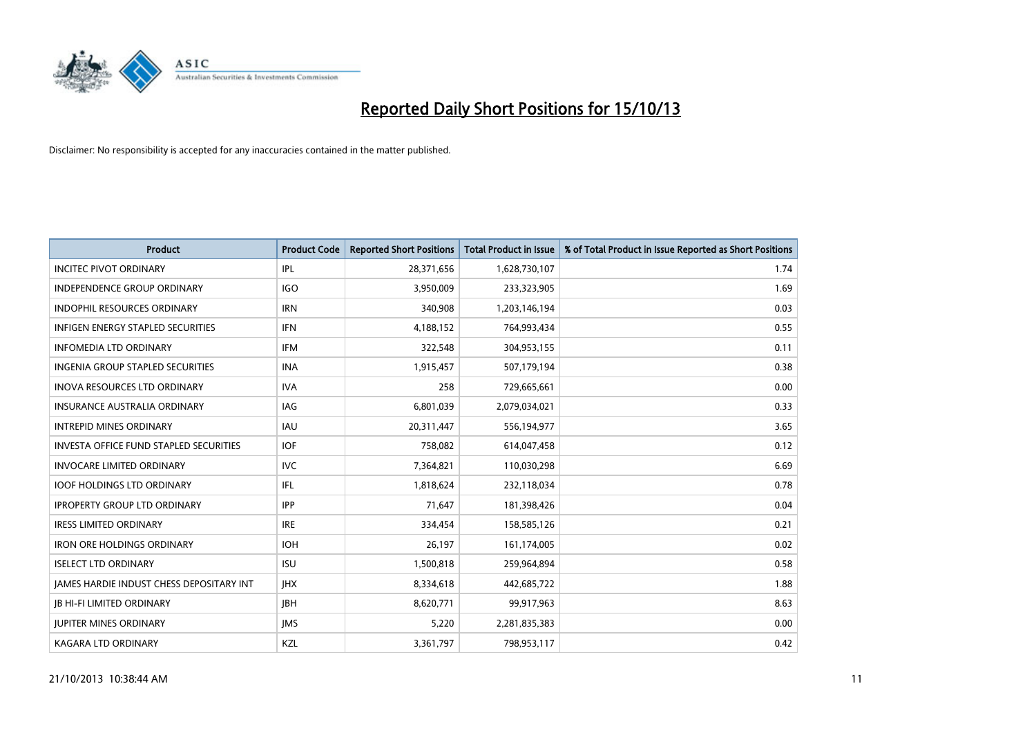

| <b>Product</b>                                | <b>Product Code</b> | <b>Reported Short Positions</b> | <b>Total Product in Issue</b> | % of Total Product in Issue Reported as Short Positions |
|-----------------------------------------------|---------------------|---------------------------------|-------------------------------|---------------------------------------------------------|
| <b>INCITEC PIVOT ORDINARY</b>                 | IPL                 | 28,371,656                      | 1,628,730,107                 | 1.74                                                    |
| INDEPENDENCE GROUP ORDINARY                   | IGO                 | 3,950,009                       | 233,323,905                   | 1.69                                                    |
| <b>INDOPHIL RESOURCES ORDINARY</b>            | <b>IRN</b>          | 340,908                         | 1,203,146,194                 | 0.03                                                    |
| INFIGEN ENERGY STAPLED SECURITIES             | <b>IFN</b>          | 4,188,152                       | 764,993,434                   | 0.55                                                    |
| <b>INFOMEDIA LTD ORDINARY</b>                 | <b>IFM</b>          | 322,548                         | 304,953,155                   | 0.11                                                    |
| INGENIA GROUP STAPLED SECURITIES              | <b>INA</b>          | 1,915,457                       | 507,179,194                   | 0.38                                                    |
| <b>INOVA RESOURCES LTD ORDINARY</b>           | <b>IVA</b>          | 258                             | 729,665,661                   | 0.00                                                    |
| <b>INSURANCE AUSTRALIA ORDINARY</b>           | IAG                 | 6,801,039                       | 2,079,034,021                 | 0.33                                                    |
| <b>INTREPID MINES ORDINARY</b>                | <b>IAU</b>          | 20,311,447                      | 556,194,977                   | 3.65                                                    |
| <b>INVESTA OFFICE FUND STAPLED SECURITIES</b> | <b>IOF</b>          | 758,082                         | 614,047,458                   | 0.12                                                    |
| <b>INVOCARE LIMITED ORDINARY</b>              | IVC                 | 7,364,821                       | 110,030,298                   | 6.69                                                    |
| <b>IOOF HOLDINGS LTD ORDINARY</b>             | IFL                 | 1,818,624                       | 232,118,034                   | 0.78                                                    |
| <b>IPROPERTY GROUP LTD ORDINARY</b>           | <b>IPP</b>          | 71,647                          | 181,398,426                   | 0.04                                                    |
| <b>IRESS LIMITED ORDINARY</b>                 | <b>IRE</b>          | 334,454                         | 158,585,126                   | 0.21                                                    |
| <b>IRON ORE HOLDINGS ORDINARY</b>             | <b>IOH</b>          | 26,197                          | 161,174,005                   | 0.02                                                    |
| <b>ISELECT LTD ORDINARY</b>                   | <b>ISU</b>          | 1,500,818                       | 259,964,894                   | 0.58                                                    |
| JAMES HARDIE INDUST CHESS DEPOSITARY INT      | <b>IHX</b>          | 8,334,618                       | 442,685,722                   | 1.88                                                    |
| <b>JB HI-FI LIMITED ORDINARY</b>              | <b>JBH</b>          | 8,620,771                       | 99,917,963                    | 8.63                                                    |
| <b>JUPITER MINES ORDINARY</b>                 | <b>IMS</b>          | 5,220                           | 2,281,835,383                 | 0.00                                                    |
| <b>KAGARA LTD ORDINARY</b>                    | KZL                 | 3,361,797                       | 798,953,117                   | 0.42                                                    |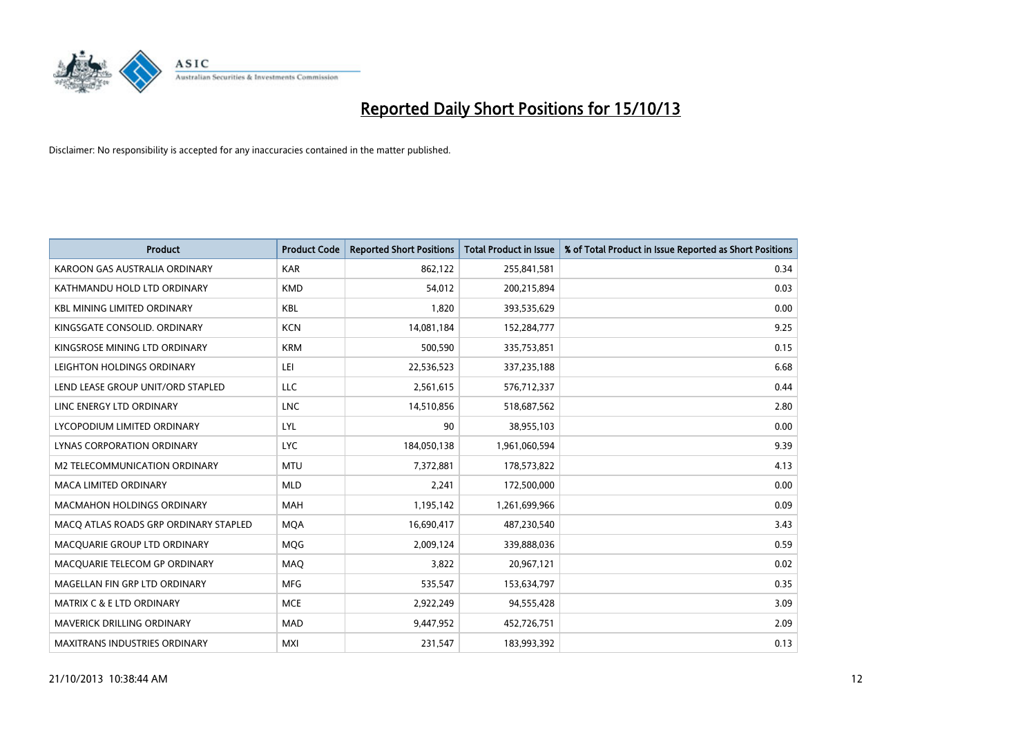

| <b>Product</b>                        | <b>Product Code</b> | <b>Reported Short Positions</b> | <b>Total Product in Issue</b> | % of Total Product in Issue Reported as Short Positions |
|---------------------------------------|---------------------|---------------------------------|-------------------------------|---------------------------------------------------------|
| KAROON GAS AUSTRALIA ORDINARY         | <b>KAR</b>          | 862,122                         | 255,841,581                   | 0.34                                                    |
| KATHMANDU HOLD LTD ORDINARY           | <b>KMD</b>          | 54,012                          | 200,215,894                   | 0.03                                                    |
| <b>KBL MINING LIMITED ORDINARY</b>    | <b>KBL</b>          | 1,820                           | 393,535,629                   | 0.00                                                    |
| KINGSGATE CONSOLID. ORDINARY          | <b>KCN</b>          | 14,081,184                      | 152,284,777                   | 9.25                                                    |
| KINGSROSE MINING LTD ORDINARY         | <b>KRM</b>          | 500,590                         | 335,753,851                   | 0.15                                                    |
| LEIGHTON HOLDINGS ORDINARY            | LEI                 | 22,536,523                      | 337,235,188                   | 6.68                                                    |
| LEND LEASE GROUP UNIT/ORD STAPLED     | <b>LLC</b>          | 2,561,615                       | 576,712,337                   | 0.44                                                    |
| LINC ENERGY LTD ORDINARY              | LNC                 | 14,510,856                      | 518,687,562                   | 2.80                                                    |
| LYCOPODIUM LIMITED ORDINARY           | LYL                 | 90                              | 38,955,103                    | 0.00                                                    |
| <b>LYNAS CORPORATION ORDINARY</b>     | <b>LYC</b>          | 184,050,138                     | 1,961,060,594                 | 9.39                                                    |
| M2 TELECOMMUNICATION ORDINARY         | <b>MTU</b>          | 7,372,881                       | 178,573,822                   | 4.13                                                    |
| <b>MACA LIMITED ORDINARY</b>          | <b>MLD</b>          | 2,241                           | 172,500,000                   | 0.00                                                    |
| <b>MACMAHON HOLDINGS ORDINARY</b>     | <b>MAH</b>          | 1,195,142                       | 1,261,699,966                 | 0.09                                                    |
| MACO ATLAS ROADS GRP ORDINARY STAPLED | <b>MQA</b>          | 16,690,417                      | 487,230,540                   | 3.43                                                    |
| MACQUARIE GROUP LTD ORDINARY          | MQG                 | 2,009,124                       | 339,888,036                   | 0.59                                                    |
| MACQUARIE TELECOM GP ORDINARY         | MAQ                 | 3,822                           | 20,967,121                    | 0.02                                                    |
| MAGELLAN FIN GRP LTD ORDINARY         | <b>MFG</b>          | 535,547                         | 153,634,797                   | 0.35                                                    |
| MATRIX C & E LTD ORDINARY             | <b>MCE</b>          | 2,922,249                       | 94,555,428                    | 3.09                                                    |
| <b>MAVERICK DRILLING ORDINARY</b>     | <b>MAD</b>          | 9,447,952                       | 452,726,751                   | 2.09                                                    |
| <b>MAXITRANS INDUSTRIES ORDINARY</b>  | <b>MXI</b>          | 231,547                         | 183,993,392                   | 0.13                                                    |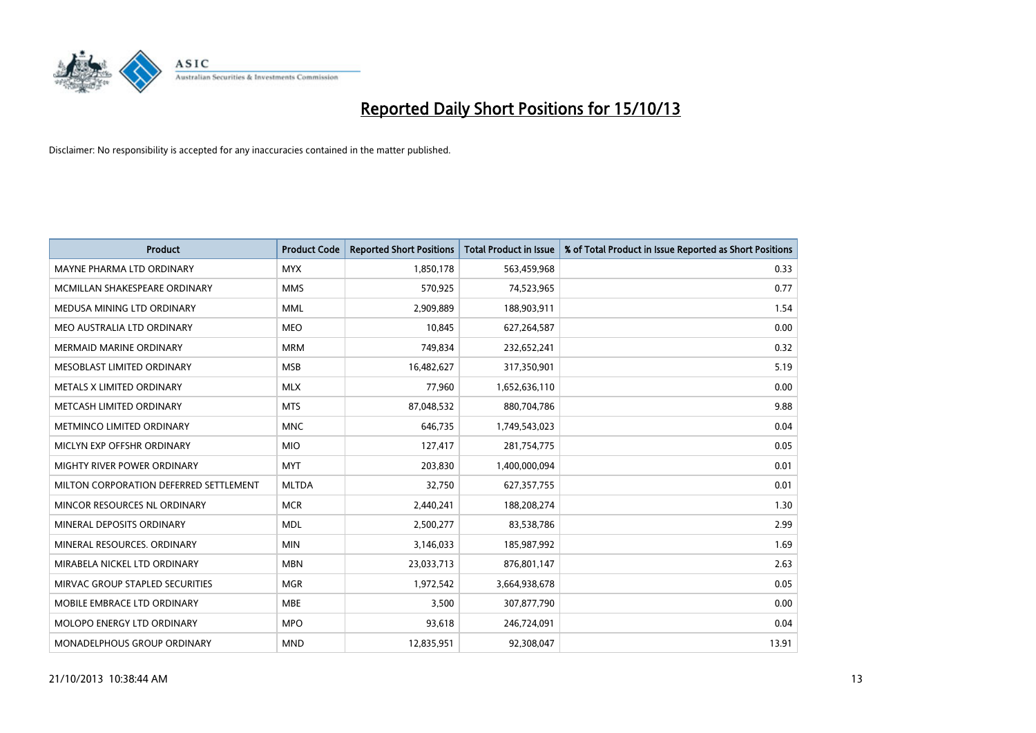

| <b>Product</b>                         | <b>Product Code</b> | <b>Reported Short Positions</b> | <b>Total Product in Issue</b> | % of Total Product in Issue Reported as Short Positions |
|----------------------------------------|---------------------|---------------------------------|-------------------------------|---------------------------------------------------------|
| MAYNE PHARMA LTD ORDINARY              | <b>MYX</b>          | 1,850,178                       | 563,459,968                   | 0.33                                                    |
| MCMILLAN SHAKESPEARE ORDINARY          | <b>MMS</b>          | 570,925                         | 74,523,965                    | 0.77                                                    |
| MEDUSA MINING LTD ORDINARY             | <b>MML</b>          | 2,909,889                       | 188,903,911                   | 1.54                                                    |
| MEO AUSTRALIA LTD ORDINARY             | <b>MEO</b>          | 10,845                          | 627,264,587                   | 0.00                                                    |
| <b>MERMAID MARINE ORDINARY</b>         | <b>MRM</b>          | 749,834                         | 232,652,241                   | 0.32                                                    |
| MESOBLAST LIMITED ORDINARY             | <b>MSB</b>          | 16,482,627                      | 317,350,901                   | 5.19                                                    |
| METALS X LIMITED ORDINARY              | <b>MLX</b>          | 77,960                          | 1,652,636,110                 | 0.00                                                    |
| METCASH LIMITED ORDINARY               | <b>MTS</b>          | 87,048,532                      | 880,704,786                   | 9.88                                                    |
| METMINCO LIMITED ORDINARY              | <b>MNC</b>          | 646,735                         | 1,749,543,023                 | 0.04                                                    |
| MICLYN EXP OFFSHR ORDINARY             | <b>MIO</b>          | 127,417                         | 281,754,775                   | 0.05                                                    |
| MIGHTY RIVER POWER ORDINARY            | <b>MYT</b>          | 203,830                         | 1,400,000,094                 | 0.01                                                    |
| MILTON CORPORATION DEFERRED SETTLEMENT | <b>MLTDA</b>        | 32,750                          | 627,357,755                   | 0.01                                                    |
| MINCOR RESOURCES NL ORDINARY           | <b>MCR</b>          | 2,440,241                       | 188,208,274                   | 1.30                                                    |
| MINERAL DEPOSITS ORDINARY              | <b>MDL</b>          | 2,500,277                       | 83,538,786                    | 2.99                                                    |
| MINERAL RESOURCES, ORDINARY            | <b>MIN</b>          | 3,146,033                       | 185,987,992                   | 1.69                                                    |
| MIRABELA NICKEL LTD ORDINARY           | <b>MBN</b>          | 23,033,713                      | 876,801,147                   | 2.63                                                    |
| MIRVAC GROUP STAPLED SECURITIES        | <b>MGR</b>          | 1,972,542                       | 3,664,938,678                 | 0.05                                                    |
| MOBILE EMBRACE LTD ORDINARY            | <b>MBE</b>          | 3,500                           | 307,877,790                   | 0.00                                                    |
| MOLOPO ENERGY LTD ORDINARY             | <b>MPO</b>          | 93,618                          | 246,724,091                   | 0.04                                                    |
| <b>MONADELPHOUS GROUP ORDINARY</b>     | <b>MND</b>          | 12,835,951                      | 92,308,047                    | 13.91                                                   |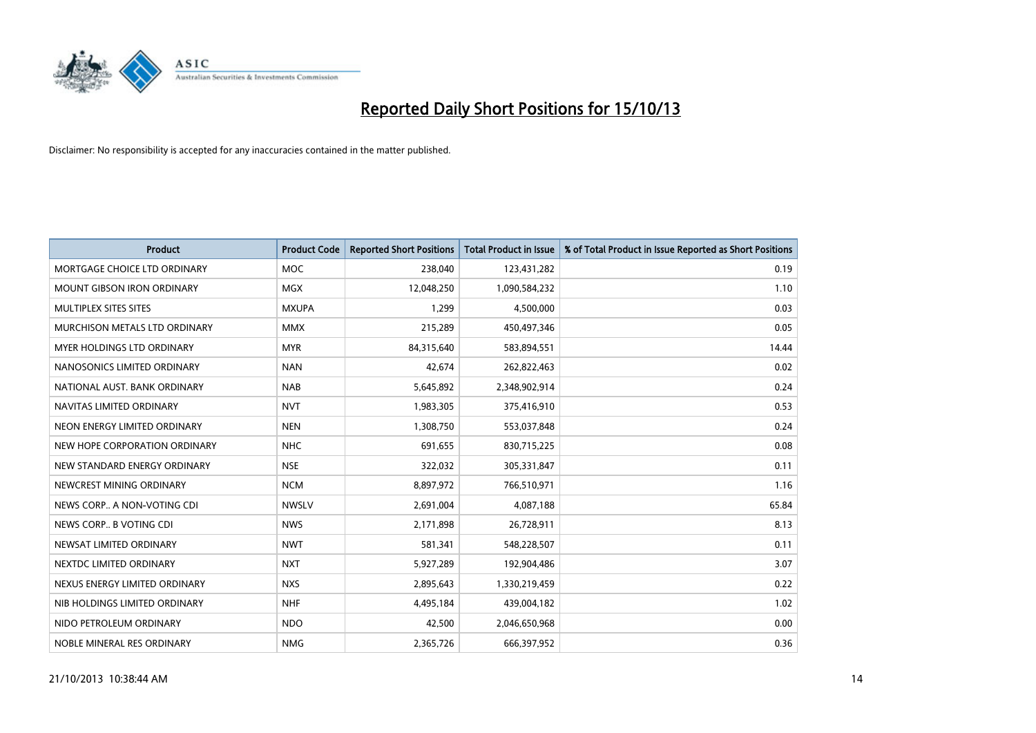

| <b>Product</b>                    | <b>Product Code</b> | <b>Reported Short Positions</b> | <b>Total Product in Issue</b> | % of Total Product in Issue Reported as Short Positions |
|-----------------------------------|---------------------|---------------------------------|-------------------------------|---------------------------------------------------------|
| MORTGAGE CHOICE LTD ORDINARY      | <b>MOC</b>          | 238,040                         | 123,431,282                   | 0.19                                                    |
| MOUNT GIBSON IRON ORDINARY        | <b>MGX</b>          | 12,048,250                      | 1,090,584,232                 | 1.10                                                    |
| MULTIPLEX SITES SITES             | <b>MXUPA</b>        | 1,299                           | 4,500,000                     | 0.03                                                    |
| MURCHISON METALS LTD ORDINARY     | <b>MMX</b>          | 215,289                         | 450,497,346                   | 0.05                                                    |
| <b>MYER HOLDINGS LTD ORDINARY</b> | <b>MYR</b>          | 84,315,640                      | 583,894,551                   | 14.44                                                   |
| NANOSONICS LIMITED ORDINARY       | <b>NAN</b>          | 42,674                          | 262,822,463                   | 0.02                                                    |
| NATIONAL AUST. BANK ORDINARY      | <b>NAB</b>          | 5,645,892                       | 2,348,902,914                 | 0.24                                                    |
| NAVITAS LIMITED ORDINARY          | <b>NVT</b>          | 1,983,305                       | 375,416,910                   | 0.53                                                    |
| NEON ENERGY LIMITED ORDINARY      | <b>NEN</b>          | 1,308,750                       | 553,037,848                   | 0.24                                                    |
| NEW HOPE CORPORATION ORDINARY     | <b>NHC</b>          | 691,655                         | 830,715,225                   | 0.08                                                    |
| NEW STANDARD ENERGY ORDINARY      | <b>NSE</b>          | 322,032                         | 305,331,847                   | 0.11                                                    |
| NEWCREST MINING ORDINARY          | <b>NCM</b>          | 8,897,972                       | 766,510,971                   | 1.16                                                    |
| NEWS CORP A NON-VOTING CDI        | <b>NWSLV</b>        | 2,691,004                       | 4,087,188                     | 65.84                                                   |
| NEWS CORP B VOTING CDI            | <b>NWS</b>          | 2,171,898                       | 26,728,911                    | 8.13                                                    |
| NEWSAT LIMITED ORDINARY           | <b>NWT</b>          | 581,341                         | 548,228,507                   | 0.11                                                    |
| NEXTDC LIMITED ORDINARY           | <b>NXT</b>          | 5,927,289                       | 192,904,486                   | 3.07                                                    |
| NEXUS ENERGY LIMITED ORDINARY     | <b>NXS</b>          | 2,895,643                       | 1,330,219,459                 | 0.22                                                    |
| NIB HOLDINGS LIMITED ORDINARY     | <b>NHF</b>          | 4,495,184                       | 439,004,182                   | 1.02                                                    |
| NIDO PETROLEUM ORDINARY           | <b>NDO</b>          | 42,500                          | 2,046,650,968                 | 0.00                                                    |
| NOBLE MINERAL RES ORDINARY        | <b>NMG</b>          | 2,365,726                       | 666,397,952                   | 0.36                                                    |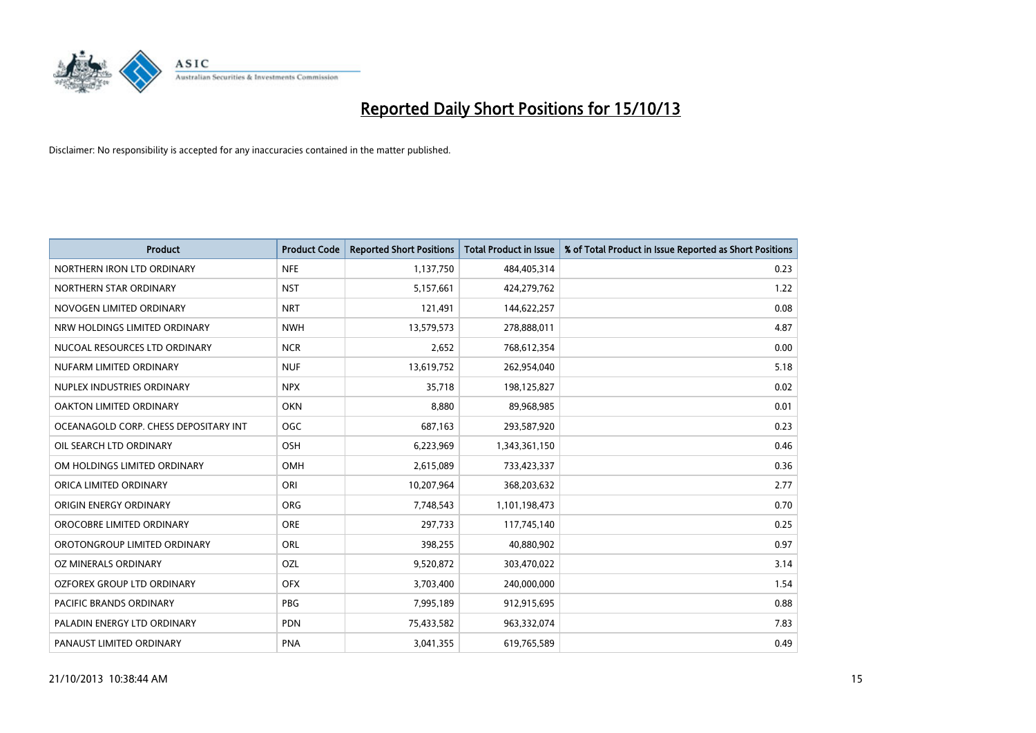

| <b>Product</b>                        | <b>Product Code</b> | <b>Reported Short Positions</b> | <b>Total Product in Issue</b> | % of Total Product in Issue Reported as Short Positions |
|---------------------------------------|---------------------|---------------------------------|-------------------------------|---------------------------------------------------------|
| NORTHERN IRON LTD ORDINARY            | <b>NFE</b>          | 1,137,750                       | 484,405,314                   | 0.23                                                    |
| NORTHERN STAR ORDINARY                | <b>NST</b>          | 5,157,661                       | 424,279,762                   | 1.22                                                    |
| NOVOGEN LIMITED ORDINARY              | <b>NRT</b>          | 121,491                         | 144,622,257                   | 0.08                                                    |
| NRW HOLDINGS LIMITED ORDINARY         | <b>NWH</b>          | 13,579,573                      | 278,888,011                   | 4.87                                                    |
| NUCOAL RESOURCES LTD ORDINARY         | <b>NCR</b>          | 2,652                           | 768,612,354                   | 0.00                                                    |
| NUFARM LIMITED ORDINARY               | <b>NUF</b>          | 13,619,752                      | 262,954,040                   | 5.18                                                    |
| NUPLEX INDUSTRIES ORDINARY            | <b>NPX</b>          | 35,718                          | 198,125,827                   | 0.02                                                    |
| OAKTON LIMITED ORDINARY               | <b>OKN</b>          | 8,880                           | 89,968,985                    | 0.01                                                    |
| OCEANAGOLD CORP. CHESS DEPOSITARY INT | OGC                 | 687,163                         | 293,587,920                   | 0.23                                                    |
| OIL SEARCH LTD ORDINARY               | OSH                 | 6,223,969                       | 1,343,361,150                 | 0.46                                                    |
| OM HOLDINGS LIMITED ORDINARY          | OMH                 | 2,615,089                       | 733,423,337                   | 0.36                                                    |
| ORICA LIMITED ORDINARY                | ORI                 | 10,207,964                      | 368,203,632                   | 2.77                                                    |
| ORIGIN ENERGY ORDINARY                | <b>ORG</b>          | 7,748,543                       | 1,101,198,473                 | 0.70                                                    |
| OROCOBRE LIMITED ORDINARY             | <b>ORE</b>          | 297,733                         | 117,745,140                   | 0.25                                                    |
| OROTONGROUP LIMITED ORDINARY          | <b>ORL</b>          | 398,255                         | 40,880,902                    | 0.97                                                    |
| OZ MINERALS ORDINARY                  | OZL                 | 9,520,872                       | 303,470,022                   | 3.14                                                    |
| OZFOREX GROUP LTD ORDINARY            | <b>OFX</b>          | 3,703,400                       | 240,000,000                   | 1.54                                                    |
| <b>PACIFIC BRANDS ORDINARY</b>        | <b>PBG</b>          | 7,995,189                       | 912,915,695                   | 0.88                                                    |
| PALADIN ENERGY LTD ORDINARY           | <b>PDN</b>          | 75,433,582                      | 963,332,074                   | 7.83                                                    |
| PANAUST LIMITED ORDINARY              | <b>PNA</b>          | 3,041,355                       | 619,765,589                   | 0.49                                                    |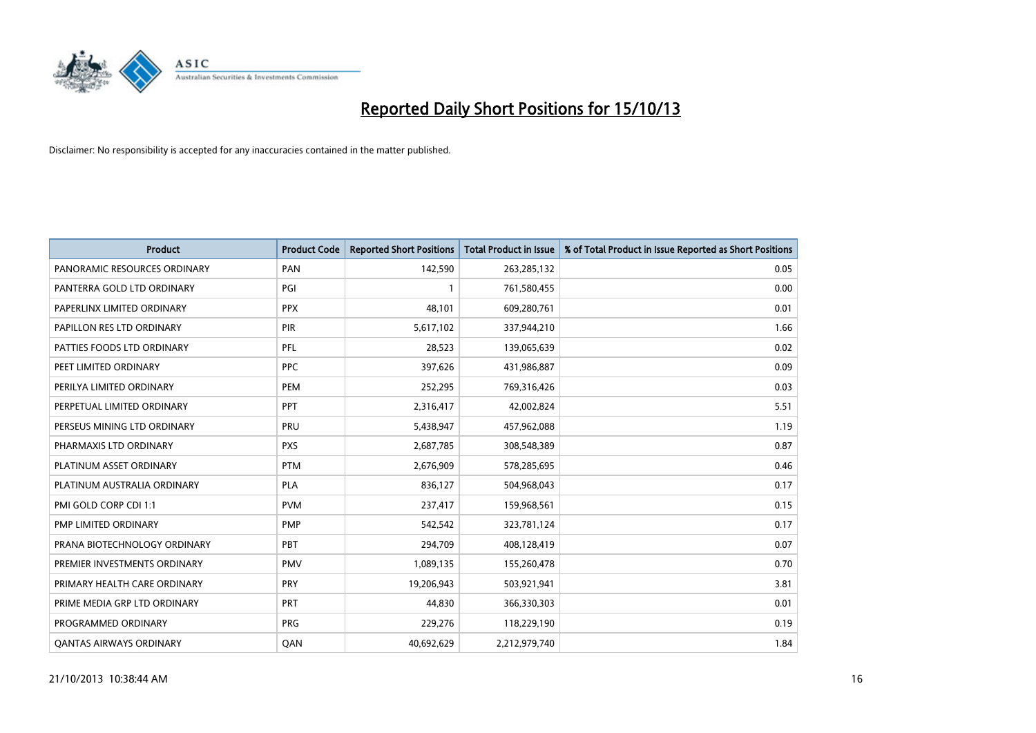

| <b>Product</b>                 | <b>Product Code</b> | <b>Reported Short Positions</b> | <b>Total Product in Issue</b> | % of Total Product in Issue Reported as Short Positions |
|--------------------------------|---------------------|---------------------------------|-------------------------------|---------------------------------------------------------|
| PANORAMIC RESOURCES ORDINARY   | PAN                 | 142,590                         | 263,285,132                   | 0.05                                                    |
| PANTERRA GOLD LTD ORDINARY     | PGI                 | $\mathbf{1}$                    | 761,580,455                   | 0.00                                                    |
| PAPERLINX LIMITED ORDINARY     | <b>PPX</b>          | 48,101                          | 609,280,761                   | 0.01                                                    |
| PAPILLON RES LTD ORDINARY      | <b>PIR</b>          | 5,617,102                       | 337,944,210                   | 1.66                                                    |
| PATTIES FOODS LTD ORDINARY     | PFL                 | 28,523                          | 139,065,639                   | 0.02                                                    |
| PEET LIMITED ORDINARY          | <b>PPC</b>          | 397,626                         | 431,986,887                   | 0.09                                                    |
| PERILYA LIMITED ORDINARY       | PEM                 | 252,295                         | 769,316,426                   | 0.03                                                    |
| PERPETUAL LIMITED ORDINARY     | <b>PPT</b>          | 2,316,417                       | 42,002,824                    | 5.51                                                    |
| PERSEUS MINING LTD ORDINARY    | <b>PRU</b>          | 5,438,947                       | 457,962,088                   | 1.19                                                    |
| PHARMAXIS LTD ORDINARY         | <b>PXS</b>          | 2,687,785                       | 308,548,389                   | 0.87                                                    |
| PLATINUM ASSET ORDINARY        | <b>PTM</b>          | 2,676,909                       | 578,285,695                   | 0.46                                                    |
| PLATINUM AUSTRALIA ORDINARY    | <b>PLA</b>          | 836,127                         | 504,968,043                   | 0.17                                                    |
| PMI GOLD CORP CDI 1:1          | <b>PVM</b>          | 237,417                         | 159,968,561                   | 0.15                                                    |
| PMP LIMITED ORDINARY           | <b>PMP</b>          | 542,542                         | 323,781,124                   | 0.17                                                    |
| PRANA BIOTECHNOLOGY ORDINARY   | PBT                 | 294,709                         | 408,128,419                   | 0.07                                                    |
| PREMIER INVESTMENTS ORDINARY   | <b>PMV</b>          | 1,089,135                       | 155,260,478                   | 0.70                                                    |
| PRIMARY HEALTH CARE ORDINARY   | <b>PRY</b>          | 19,206,943                      | 503,921,941                   | 3.81                                                    |
| PRIME MEDIA GRP LTD ORDINARY   | <b>PRT</b>          | 44,830                          | 366,330,303                   | 0.01                                                    |
| PROGRAMMED ORDINARY            | <b>PRG</b>          | 229,276                         | 118,229,190                   | 0.19                                                    |
| <b>QANTAS AIRWAYS ORDINARY</b> | QAN                 | 40,692,629                      | 2,212,979,740                 | 1.84                                                    |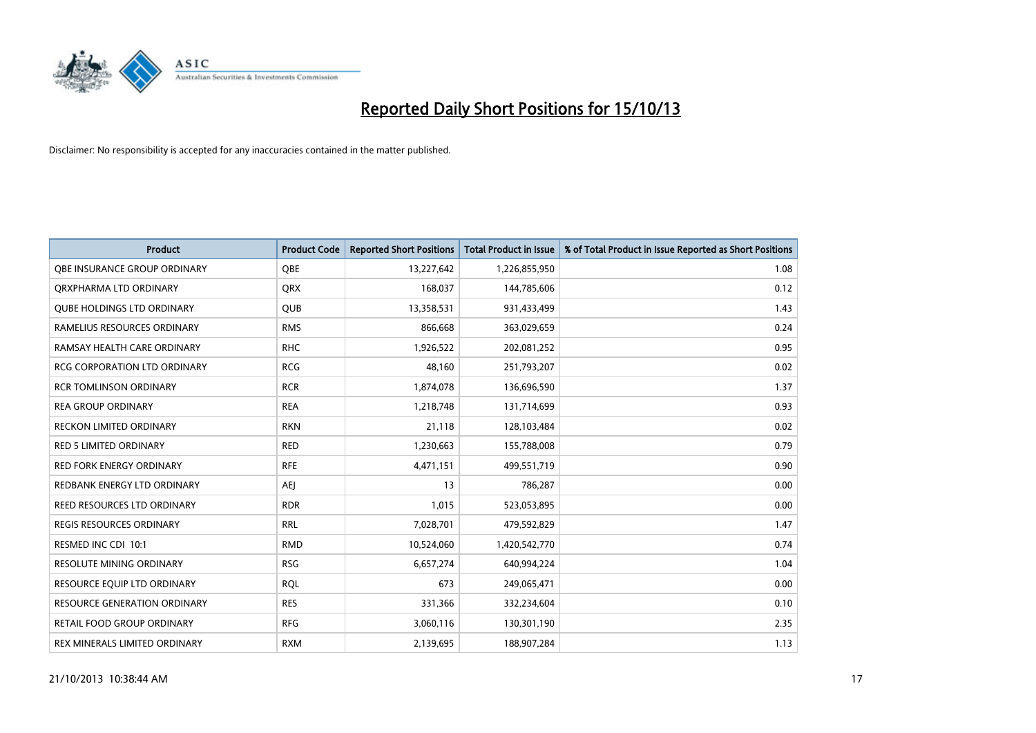

| <b>Product</b>                      | <b>Product Code</b> | <b>Reported Short Positions</b> | <b>Total Product in Issue</b> | % of Total Product in Issue Reported as Short Positions |
|-------------------------------------|---------------------|---------------------------------|-------------------------------|---------------------------------------------------------|
| OBE INSURANCE GROUP ORDINARY        | <b>OBE</b>          | 13,227,642                      | 1,226,855,950                 | 1.08                                                    |
| ORXPHARMA LTD ORDINARY              | <b>QRX</b>          | 168,037                         | 144,785,606                   | 0.12                                                    |
| <b>QUBE HOLDINGS LTD ORDINARY</b>   | QUB                 | 13,358,531                      | 931,433,499                   | 1.43                                                    |
| RAMELIUS RESOURCES ORDINARY         | <b>RMS</b>          | 866,668                         | 363,029,659                   | 0.24                                                    |
| RAMSAY HEALTH CARE ORDINARY         | <b>RHC</b>          | 1,926,522                       | 202,081,252                   | 0.95                                                    |
| <b>RCG CORPORATION LTD ORDINARY</b> | <b>RCG</b>          | 48,160                          | 251,793,207                   | 0.02                                                    |
| <b>RCR TOMLINSON ORDINARY</b>       | <b>RCR</b>          | 1,874,078                       | 136,696,590                   | 1.37                                                    |
| <b>REA GROUP ORDINARY</b>           | <b>REA</b>          | 1,218,748                       | 131,714,699                   | 0.93                                                    |
| <b>RECKON LIMITED ORDINARY</b>      | <b>RKN</b>          | 21,118                          | 128,103,484                   | 0.02                                                    |
| <b>RED 5 LIMITED ORDINARY</b>       | <b>RED</b>          | 1,230,663                       | 155,788,008                   | 0.79                                                    |
| RED FORK ENERGY ORDINARY            | <b>RFE</b>          | 4,471,151                       | 499,551,719                   | 0.90                                                    |
| REDBANK ENERGY LTD ORDINARY         | AEJ                 | 13                              | 786,287                       | 0.00                                                    |
| REED RESOURCES LTD ORDINARY         | <b>RDR</b>          | 1,015                           | 523,053,895                   | 0.00                                                    |
| REGIS RESOURCES ORDINARY            | <b>RRL</b>          | 7,028,701                       | 479,592,829                   | 1.47                                                    |
| RESMED INC CDI 10:1                 | <b>RMD</b>          | 10,524,060                      | 1,420,542,770                 | 0.74                                                    |
| RESOLUTE MINING ORDINARY            | <b>RSG</b>          | 6,657,274                       | 640,994,224                   | 1.04                                                    |
| RESOURCE EQUIP LTD ORDINARY         | <b>RQL</b>          | 673                             | 249,065,471                   | 0.00                                                    |
| RESOURCE GENERATION ORDINARY        | <b>RES</b>          | 331,366                         | 332,234,604                   | 0.10                                                    |
| <b>RETAIL FOOD GROUP ORDINARY</b>   | <b>RFG</b>          | 3,060,116                       | 130,301,190                   | 2.35                                                    |
| REX MINERALS LIMITED ORDINARY       | <b>RXM</b>          | 2,139,695                       | 188,907,284                   | 1.13                                                    |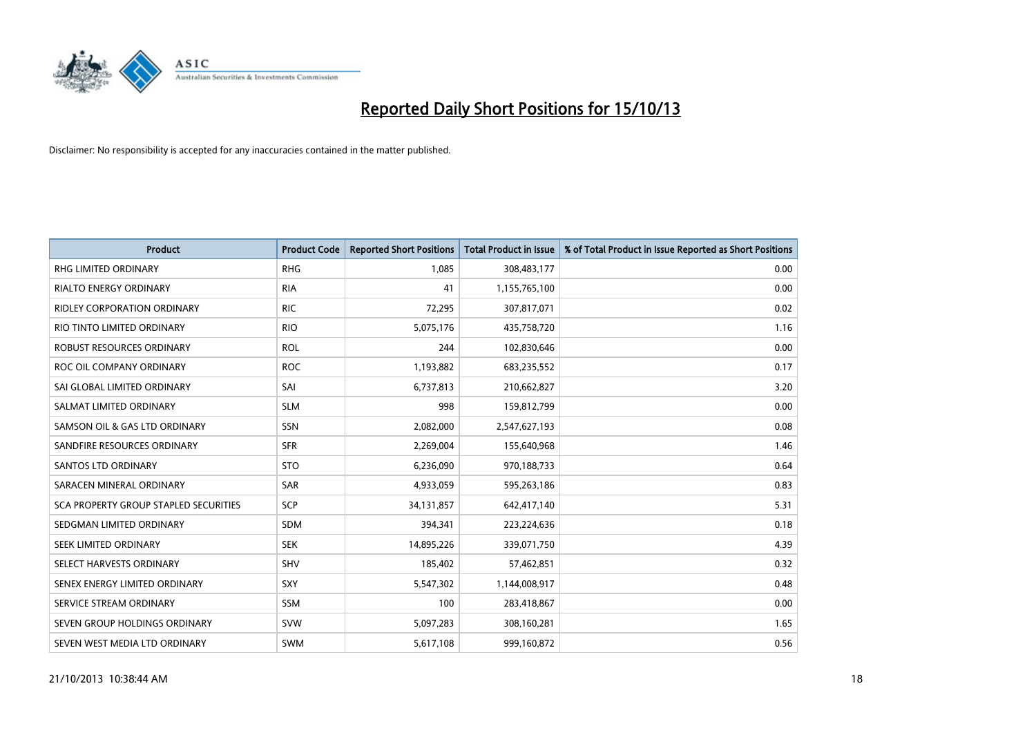

| <b>Product</b>                        | <b>Product Code</b> | <b>Reported Short Positions</b> | <b>Total Product in Issue</b> | % of Total Product in Issue Reported as Short Positions |
|---------------------------------------|---------------------|---------------------------------|-------------------------------|---------------------------------------------------------|
| <b>RHG LIMITED ORDINARY</b>           | <b>RHG</b>          | 1,085                           | 308,483,177                   | 0.00                                                    |
| <b>RIALTO ENERGY ORDINARY</b>         | <b>RIA</b>          | 41                              | 1,155,765,100                 | 0.00                                                    |
| <b>RIDLEY CORPORATION ORDINARY</b>    | <b>RIC</b>          | 72,295                          | 307,817,071                   | 0.02                                                    |
| RIO TINTO LIMITED ORDINARY            | <b>RIO</b>          | 5,075,176                       | 435,758,720                   | 1.16                                                    |
| <b>ROBUST RESOURCES ORDINARY</b>      | <b>ROL</b>          | 244                             | 102,830,646                   | 0.00                                                    |
| ROC OIL COMPANY ORDINARY              | <b>ROC</b>          | 1,193,882                       | 683,235,552                   | 0.17                                                    |
| SAI GLOBAL LIMITED ORDINARY           | SAI                 | 6,737,813                       | 210,662,827                   | 3.20                                                    |
| SALMAT LIMITED ORDINARY               | <b>SLM</b>          | 998                             | 159,812,799                   | 0.00                                                    |
| SAMSON OIL & GAS LTD ORDINARY         | SSN                 | 2,082,000                       | 2,547,627,193                 | 0.08                                                    |
| SANDFIRE RESOURCES ORDINARY           | <b>SFR</b>          | 2,269,004                       | 155,640,968                   | 1.46                                                    |
| SANTOS LTD ORDINARY                   | <b>STO</b>          | 6,236,090                       | 970,188,733                   | 0.64                                                    |
| SARACEN MINERAL ORDINARY              | <b>SAR</b>          | 4,933,059                       | 595,263,186                   | 0.83                                                    |
| SCA PROPERTY GROUP STAPLED SECURITIES | <b>SCP</b>          | 34,131,857                      | 642,417,140                   | 5.31                                                    |
| SEDGMAN LIMITED ORDINARY              | <b>SDM</b>          | 394,341                         | 223,224,636                   | 0.18                                                    |
| SEEK LIMITED ORDINARY                 | <b>SEK</b>          | 14,895,226                      | 339,071,750                   | 4.39                                                    |
| SELECT HARVESTS ORDINARY              | SHV                 | 185,402                         | 57,462,851                    | 0.32                                                    |
| SENEX ENERGY LIMITED ORDINARY         | SXY                 | 5,547,302                       | 1,144,008,917                 | 0.48                                                    |
| SERVICE STREAM ORDINARY               | <b>SSM</b>          | 100                             | 283,418,867                   | 0.00                                                    |
| SEVEN GROUP HOLDINGS ORDINARY         | <b>SVW</b>          | 5,097,283                       | 308,160,281                   | 1.65                                                    |
| SEVEN WEST MEDIA LTD ORDINARY         | SWM                 | 5,617,108                       | 999,160,872                   | 0.56                                                    |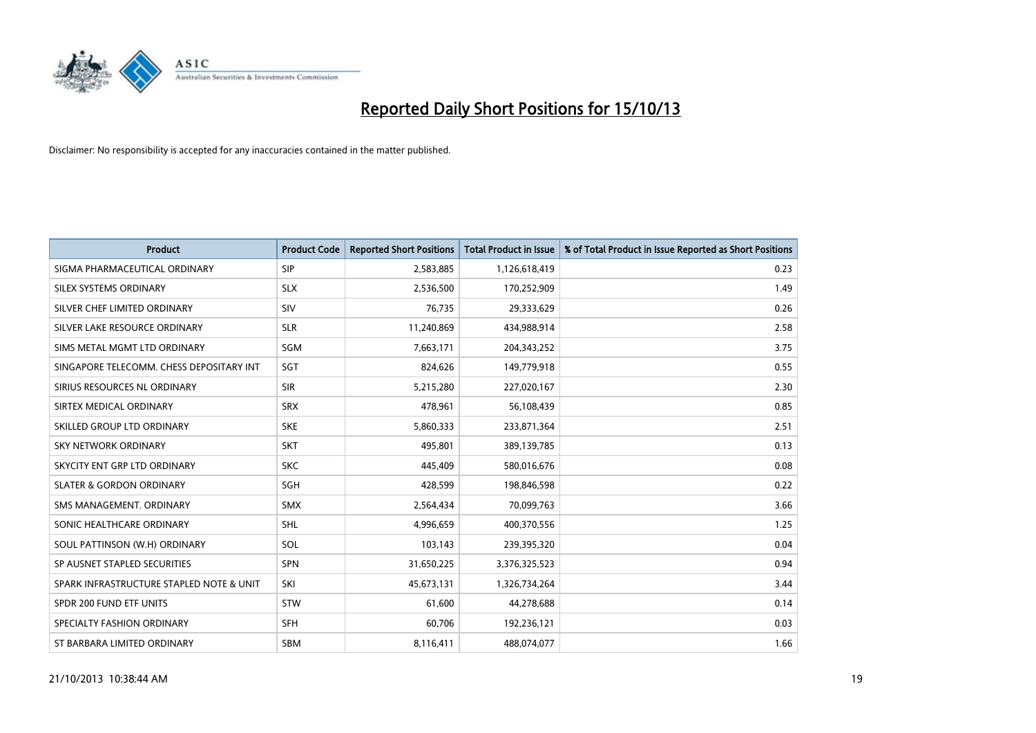

| <b>Product</b>                           | <b>Product Code</b> | <b>Reported Short Positions</b> | <b>Total Product in Issue</b> | % of Total Product in Issue Reported as Short Positions |
|------------------------------------------|---------------------|---------------------------------|-------------------------------|---------------------------------------------------------|
| SIGMA PHARMACEUTICAL ORDINARY            | <b>SIP</b>          | 2,583,885                       | 1,126,618,419                 | 0.23                                                    |
| SILEX SYSTEMS ORDINARY                   | <b>SLX</b>          | 2,536,500                       | 170,252,909                   | 1.49                                                    |
| SILVER CHEF LIMITED ORDINARY             | SIV                 | 76,735                          | 29,333,629                    | 0.26                                                    |
| SILVER LAKE RESOURCE ORDINARY            | <b>SLR</b>          | 11,240,869                      | 434,988,914                   | 2.58                                                    |
| SIMS METAL MGMT LTD ORDINARY             | SGM                 | 7,663,171                       | 204, 343, 252                 | 3.75                                                    |
| SINGAPORE TELECOMM. CHESS DEPOSITARY INT | SGT                 | 824,626                         | 149,779,918                   | 0.55                                                    |
| SIRIUS RESOURCES NL ORDINARY             | <b>SIR</b>          | 5,215,280                       | 227,020,167                   | 2.30                                                    |
| SIRTEX MEDICAL ORDINARY                  | <b>SRX</b>          | 478,961                         | 56,108,439                    | 0.85                                                    |
| SKILLED GROUP LTD ORDINARY               | <b>SKE</b>          | 5,860,333                       | 233,871,364                   | 2.51                                                    |
| <b>SKY NETWORK ORDINARY</b>              | <b>SKT</b>          | 495,801                         | 389,139,785                   | 0.13                                                    |
| SKYCITY ENT GRP LTD ORDINARY             | <b>SKC</b>          | 445,409                         | 580,016,676                   | 0.08                                                    |
| <b>SLATER &amp; GORDON ORDINARY</b>      | SGH                 | 428,599                         | 198,846,598                   | 0.22                                                    |
| SMS MANAGEMENT. ORDINARY                 | <b>SMX</b>          | 2,564,434                       | 70,099,763                    | 3.66                                                    |
| SONIC HEALTHCARE ORDINARY                | SHL                 | 4,996,659                       | 400,370,556                   | 1.25                                                    |
| SOUL PATTINSON (W.H) ORDINARY            | SOL                 | 103,143                         | 239,395,320                   | 0.04                                                    |
| SP AUSNET STAPLED SECURITIES             | <b>SPN</b>          | 31,650,225                      | 3,376,325,523                 | 0.94                                                    |
| SPARK INFRASTRUCTURE STAPLED NOTE & UNIT | SKI                 | 45,673,131                      | 1,326,734,264                 | 3.44                                                    |
| SPDR 200 FUND ETF UNITS                  | <b>STW</b>          | 61,600                          | 44,278,688                    | 0.14                                                    |
| SPECIALTY FASHION ORDINARY               | <b>SFH</b>          | 60,706                          | 192,236,121                   | 0.03                                                    |
| ST BARBARA LIMITED ORDINARY              | <b>SBM</b>          | 8,116,411                       | 488,074,077                   | 1.66                                                    |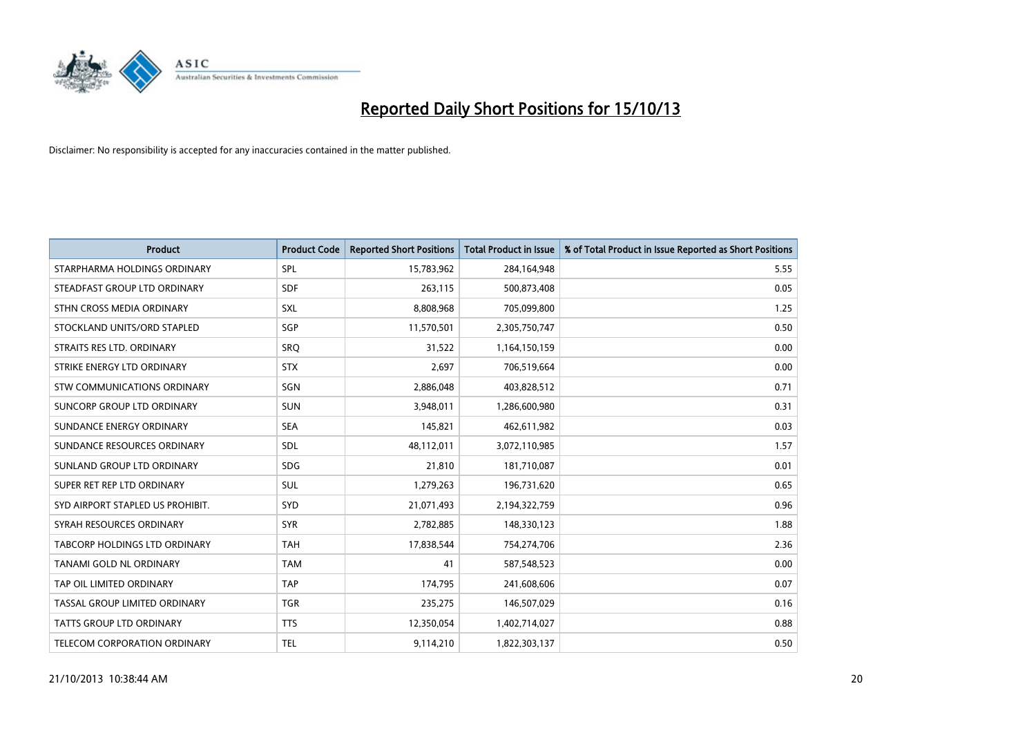

| <b>Product</b>                   | <b>Product Code</b> | <b>Reported Short Positions</b> | <b>Total Product in Issue</b> | % of Total Product in Issue Reported as Short Positions |
|----------------------------------|---------------------|---------------------------------|-------------------------------|---------------------------------------------------------|
| STARPHARMA HOLDINGS ORDINARY     | SPL                 | 15,783,962                      | 284,164,948                   | 5.55                                                    |
| STEADFAST GROUP LTD ORDINARY     | <b>SDF</b>          | 263,115                         | 500,873,408                   | 0.05                                                    |
| STHN CROSS MEDIA ORDINARY        | <b>SXL</b>          | 8,808,968                       | 705,099,800                   | 1.25                                                    |
| STOCKLAND UNITS/ORD STAPLED      | SGP                 | 11,570,501                      | 2,305,750,747                 | 0.50                                                    |
| STRAITS RES LTD. ORDINARY        | <b>SRO</b>          | 31,522                          | 1,164,150,159                 | 0.00                                                    |
| STRIKE ENERGY LTD ORDINARY       | <b>STX</b>          | 2,697                           | 706,519,664                   | 0.00                                                    |
| STW COMMUNICATIONS ORDINARY      | SGN                 | 2,886,048                       | 403,828,512                   | 0.71                                                    |
| SUNCORP GROUP LTD ORDINARY       | <b>SUN</b>          | 3,948,011                       | 1,286,600,980                 | 0.31                                                    |
| SUNDANCE ENERGY ORDINARY         | <b>SEA</b>          | 145,821                         | 462,611,982                   | 0.03                                                    |
| SUNDANCE RESOURCES ORDINARY      | <b>SDL</b>          | 48,112,011                      | 3,072,110,985                 | 1.57                                                    |
| SUNLAND GROUP LTD ORDINARY       | <b>SDG</b>          | 21,810                          | 181,710,087                   | 0.01                                                    |
| SUPER RET REP LTD ORDINARY       | SUL                 | 1,279,263                       | 196,731,620                   | 0.65                                                    |
| SYD AIRPORT STAPLED US PROHIBIT. | SYD                 | 21,071,493                      | 2,194,322,759                 | 0.96                                                    |
| SYRAH RESOURCES ORDINARY         | <b>SYR</b>          | 2,782,885                       | 148,330,123                   | 1.88                                                    |
| TABCORP HOLDINGS LTD ORDINARY    | <b>TAH</b>          | 17,838,544                      | 754,274,706                   | 2.36                                                    |
| TANAMI GOLD NL ORDINARY          | <b>TAM</b>          | 41                              | 587,548,523                   | 0.00                                                    |
| TAP OIL LIMITED ORDINARY         | <b>TAP</b>          | 174,795                         | 241,608,606                   | 0.07                                                    |
| TASSAL GROUP LIMITED ORDINARY    | <b>TGR</b>          | 235,275                         | 146,507,029                   | 0.16                                                    |
| <b>TATTS GROUP LTD ORDINARY</b>  | <b>TTS</b>          | 12,350,054                      | 1,402,714,027                 | 0.88                                                    |
| TELECOM CORPORATION ORDINARY     | <b>TEL</b>          | 9,114,210                       | 1,822,303,137                 | 0.50                                                    |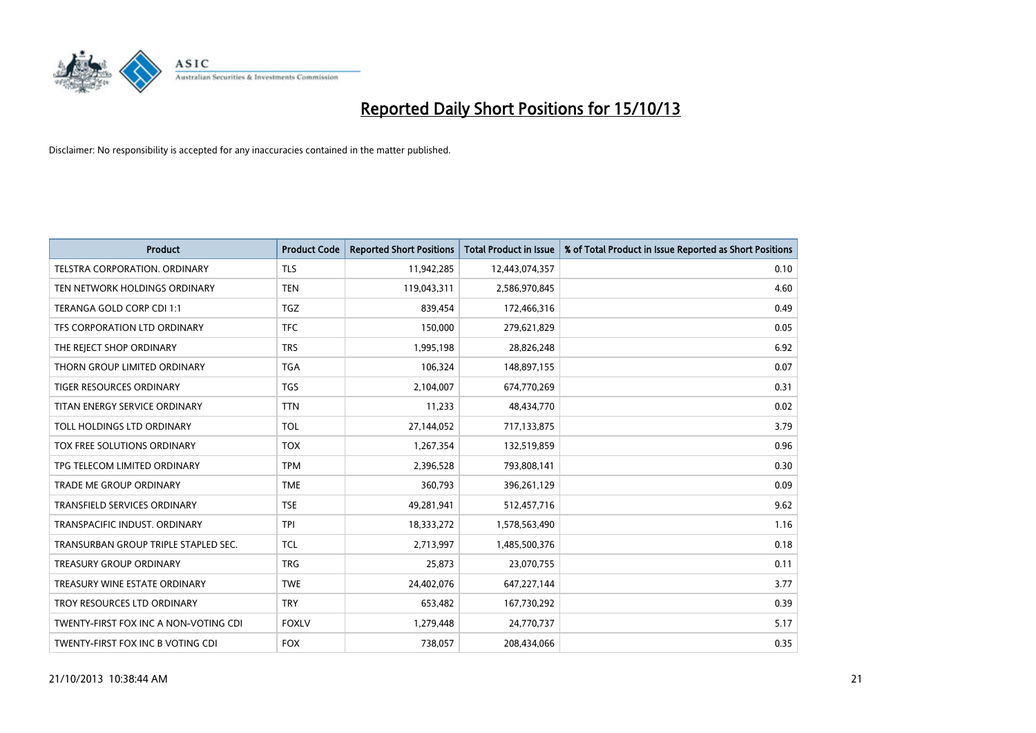

| <b>Product</b>                        | <b>Product Code</b> | <b>Reported Short Positions</b> | <b>Total Product in Issue</b> | % of Total Product in Issue Reported as Short Positions |
|---------------------------------------|---------------------|---------------------------------|-------------------------------|---------------------------------------------------------|
| <b>TELSTRA CORPORATION, ORDINARY</b>  | <b>TLS</b>          | 11,942,285                      | 12,443,074,357                | 0.10                                                    |
| TEN NETWORK HOLDINGS ORDINARY         | <b>TEN</b>          | 119,043,311                     | 2,586,970,845                 | 4.60                                                    |
| TERANGA GOLD CORP CDI 1:1             | <b>TGZ</b>          | 839,454                         | 172,466,316                   | 0.49                                                    |
| TFS CORPORATION LTD ORDINARY          | <b>TFC</b>          | 150,000                         | 279,621,829                   | 0.05                                                    |
| THE REJECT SHOP ORDINARY              | <b>TRS</b>          | 1,995,198                       | 28,826,248                    | 6.92                                                    |
| THORN GROUP LIMITED ORDINARY          | <b>TGA</b>          | 106,324                         | 148,897,155                   | 0.07                                                    |
| TIGER RESOURCES ORDINARY              | <b>TGS</b>          | 2,104,007                       | 674,770,269                   | 0.31                                                    |
| TITAN ENERGY SERVICE ORDINARY         | <b>TTN</b>          | 11,233                          | 48,434,770                    | 0.02                                                    |
| TOLL HOLDINGS LTD ORDINARY            | <b>TOL</b>          | 27,144,052                      | 717,133,875                   | 3.79                                                    |
| TOX FREE SOLUTIONS ORDINARY           | <b>TOX</b>          | 1,267,354                       | 132,519,859                   | 0.96                                                    |
| TPG TELECOM LIMITED ORDINARY          | <b>TPM</b>          | 2,396,528                       | 793,808,141                   | 0.30                                                    |
| <b>TRADE ME GROUP ORDINARY</b>        | <b>TME</b>          | 360,793                         | 396,261,129                   | 0.09                                                    |
| TRANSFIELD SERVICES ORDINARY          | <b>TSE</b>          | 49,281,941                      | 512,457,716                   | 9.62                                                    |
| TRANSPACIFIC INDUST, ORDINARY         | <b>TPI</b>          | 18,333,272                      | 1,578,563,490                 | 1.16                                                    |
| TRANSURBAN GROUP TRIPLE STAPLED SEC.  | TCL                 | 2,713,997                       | 1,485,500,376                 | 0.18                                                    |
| TREASURY GROUP ORDINARY               | <b>TRG</b>          | 25,873                          | 23,070,755                    | 0.11                                                    |
| TREASURY WINE ESTATE ORDINARY         | <b>TWE</b>          | 24,402,076                      | 647,227,144                   | 3.77                                                    |
| TROY RESOURCES LTD ORDINARY           | <b>TRY</b>          | 653,482                         | 167,730,292                   | 0.39                                                    |
| TWENTY-FIRST FOX INC A NON-VOTING CDI | <b>FOXLV</b>        | 1,279,448                       | 24,770,737                    | 5.17                                                    |
| TWENTY-FIRST FOX INC B VOTING CDI     | <b>FOX</b>          | 738,057                         | 208,434,066                   | 0.35                                                    |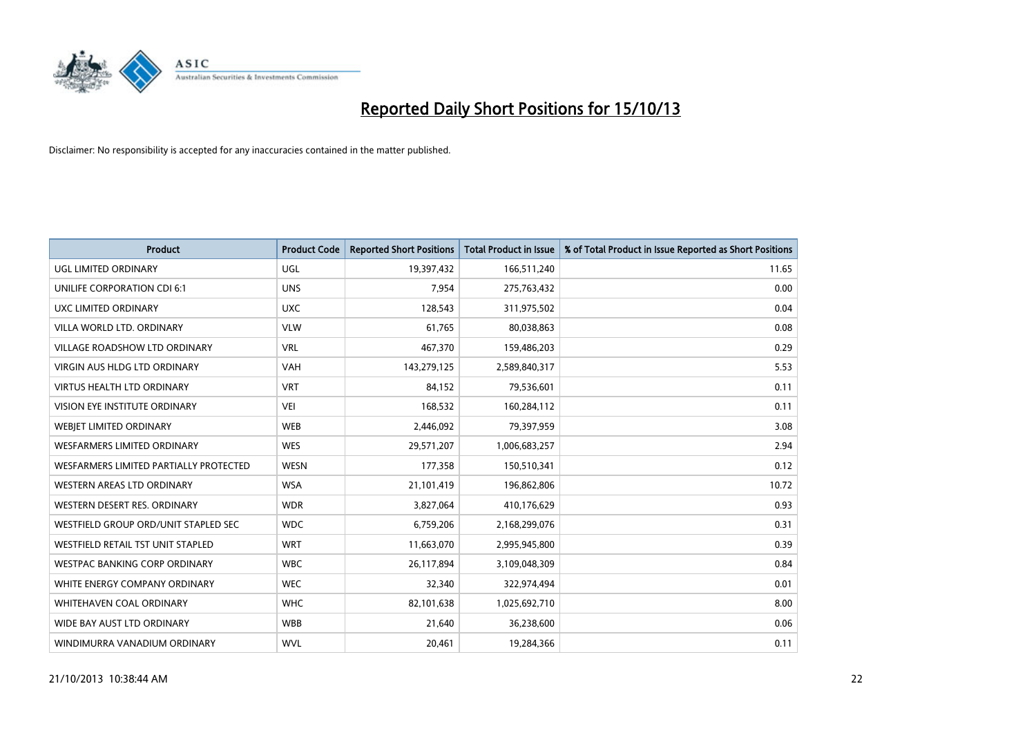

| <b>Product</b>                         | <b>Product Code</b> | <b>Reported Short Positions</b> | <b>Total Product in Issue</b> | % of Total Product in Issue Reported as Short Positions |
|----------------------------------------|---------------------|---------------------------------|-------------------------------|---------------------------------------------------------|
| UGL LIMITED ORDINARY                   | UGL                 | 19,397,432                      | 166,511,240                   | 11.65                                                   |
| UNILIFE CORPORATION CDI 6:1            | <b>UNS</b>          | 7,954                           | 275,763,432                   | 0.00                                                    |
| UXC LIMITED ORDINARY                   | <b>UXC</b>          | 128,543                         | 311,975,502                   | 0.04                                                    |
| VILLA WORLD LTD, ORDINARY              | <b>VLW</b>          | 61,765                          | 80,038,863                    | 0.08                                                    |
| <b>VILLAGE ROADSHOW LTD ORDINARY</b>   | <b>VRL</b>          | 467,370                         | 159,486,203                   | 0.29                                                    |
| <b>VIRGIN AUS HLDG LTD ORDINARY</b>    | <b>VAH</b>          | 143,279,125                     | 2,589,840,317                 | 5.53                                                    |
| <b>VIRTUS HEALTH LTD ORDINARY</b>      | <b>VRT</b>          | 84,152                          | 79,536,601                    | 0.11                                                    |
| VISION EYE INSTITUTE ORDINARY          | <b>VEI</b>          | 168,532                         | 160,284,112                   | 0.11                                                    |
| WEBJET LIMITED ORDINARY                | <b>WEB</b>          | 2,446,092                       | 79,397,959                    | 3.08                                                    |
| WESFARMERS LIMITED ORDINARY            | <b>WES</b>          | 29,571,207                      | 1,006,683,257                 | 2.94                                                    |
| WESFARMERS LIMITED PARTIALLY PROTECTED | <b>WESN</b>         | 177,358                         | 150,510,341                   | 0.12                                                    |
| WESTERN AREAS LTD ORDINARY             | <b>WSA</b>          | 21,101,419                      | 196,862,806                   | 10.72                                                   |
| WESTERN DESERT RES. ORDINARY           | <b>WDR</b>          | 3,827,064                       | 410,176,629                   | 0.93                                                    |
| WESTFIELD GROUP ORD/UNIT STAPLED SEC   | <b>WDC</b>          | 6,759,206                       | 2,168,299,076                 | 0.31                                                    |
| WESTFIELD RETAIL TST UNIT STAPLED      | <b>WRT</b>          | 11,663,070                      | 2,995,945,800                 | 0.39                                                    |
| <b>WESTPAC BANKING CORP ORDINARY</b>   | <b>WBC</b>          | 26,117,894                      | 3,109,048,309                 | 0.84                                                    |
| WHITE ENERGY COMPANY ORDINARY          | <b>WEC</b>          | 32,340                          | 322,974,494                   | 0.01                                                    |
| WHITEHAVEN COAL ORDINARY               | <b>WHC</b>          | 82,101,638                      | 1,025,692,710                 | 8.00                                                    |
| WIDE BAY AUST LTD ORDINARY             | <b>WBB</b>          | 21,640                          | 36,238,600                    | 0.06                                                    |
| WINDIMURRA VANADIUM ORDINARY           | <b>WVL</b>          | 20,461                          | 19,284,366                    | 0.11                                                    |